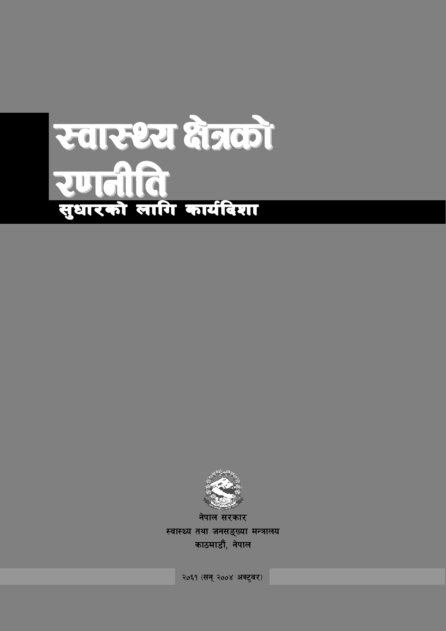# रवारथ्य क्षेत्रको रणतीति<br>सुधारको बागि कार्यदिया



स्वास्थ्य तथा जनसङ्ख्या मन्त्रालय काठमाडौं, नेपाल

२०६१ (सन् २००४ अक्टुवर)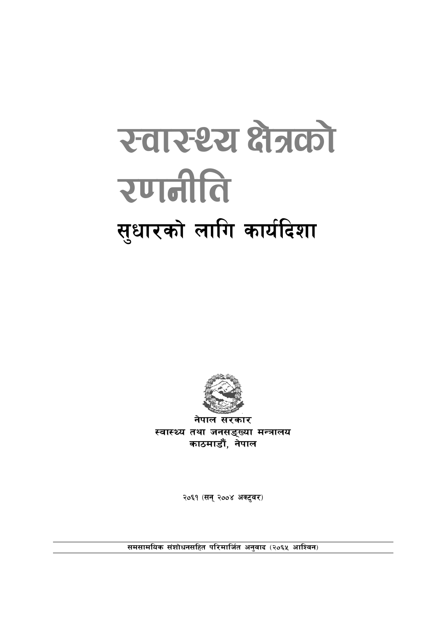# रेवार थ्य क्षेत्रको रणनीति सुधारको लागि कार्यदिशा



नेपाल सरकार स्वास्थ्य तथा जनसङ्ख्या मन्त्रालय काठमाडौं, नेपाल

२०६१ (सन् २००४ अक्टुवर)

समसामयिक संशोधनसहित परिमार्जित अनुवाद (२०६५ आश्विन)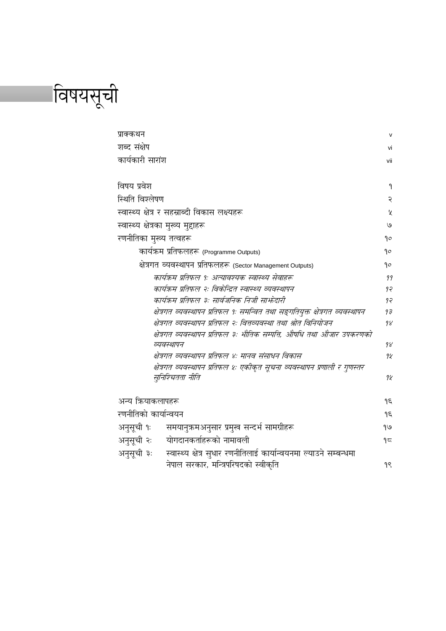विषयसूची

| प्राक्कथन                           |                                                                                                           | $\mathsf{v}$  |
|-------------------------------------|-----------------------------------------------------------------------------------------------------------|---------------|
| शब्द संक्षेप                        |                                                                                                           |               |
| कार्यकारी सारांश                    |                                                                                                           | vii           |
|                                     |                                                                                                           |               |
| विषय प्रवेश                         |                                                                                                           | ۹             |
| स्थिति विश्लेषण                     |                                                                                                           | २             |
|                                     | स्वास्थ्य क्षेत्र र सहस्राब्दी विकास लक्ष्यहरू                                                            | $\mathcal{L}$ |
| स्वास्थ्य क्षेत्रका मुख्य मुद्दाहरू |                                                                                                           | ٯا            |
| रणनीतिका मुख्य तत्वहरू              |                                                                                                           | ٩o            |
|                                     | कार्यक्रम प्रतिफलहरू (Programme Outputs)                                                                  | go            |
|                                     | क्षेत्रगत व्यवस्थापन प्रतिफलहरू (Sector Management Outputs)                                               | ٩o            |
|                                     | कार्यक्रम प्रतिफल १: अत्यावश्यक स्वास्थ्य सेवाहरू                                                         | 99            |
|                                     | कार्यक्रम प्रतिफल २ः विकोन्द्रित स्वास्थ्य व्यवस्थापन                                                     | 95            |
|                                     | कार्यक्रम प्रतिफल ३: सार्वजनिक निजी सार्फदारी                                                             | 97            |
|                                     | क्षेत्रगत व्यवस्थापन प्रतिफल १: समन्वित तथा सङ्गतियुक्त क्षेत्रगत व्यवस्थापन                              | $9\bar{z}$    |
|                                     | क्षेत्रगत व्यवस्थापन प्रतिफल २ः वित्तव्यवस्था तथा श्रोत विनियोजन                                          | 98            |
|                                     | क्षेत्रगत व्यवस्थापन प्रतिफल ३ः भौतिक सम्पत्ति, औषधि तथा औजार उपकरणको                                     |               |
|                                     | व्यवस्थापन                                                                                                | 98            |
|                                     | क्षेत्रगत व्यवस्थापन प्रतिफल ४ः मानव संसाधन विकास                                                         | 98            |
|                                     | क्षेत्रगत व्यवस्थापन प्रतिफल ४ः एकीकृत सूचना व्यवस्थापन प्रणाली र गुणस्तर                                 |               |
|                                     | सूनिश्चितता नीति                                                                                          | 98            |
| अन्य क्रियाकलापहरू                  |                                                                                                           | ۹ξ            |
| रणनीतिको कार्यान्वयन                |                                                                                                           | Jε            |
| अनुसूची १ः                          | समयानुक्रमअनुसार प्रमुख सन्दर्भ सामग्रीहरू                                                                | $e/\rho$      |
| अनुसूची २ः                          | योगदानकर्ताहरूको नामावली                                                                                  | $9\pi$        |
|                                     |                                                                                                           |               |
|                                     |                                                                                                           |               |
| अनुसूची ३:                          | स्वास्थ्य क्षेत्र सुधार रणनीतिलाई कार्यान्वयनमा ल्याउने सम्बन्धमा<br>नेपाल सरकार, मन्त्रिपरिषदको स्वीकृति | 98            |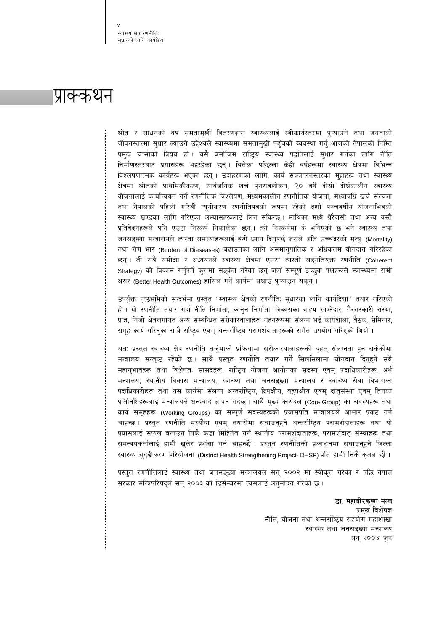स्वास्थ्य क्षेत्र रणनीति सधारको लागि कार्यदिशा

## प्राक्कथन

श्रोत र साधनको थप समतामुखी वितरणद्वारा स्वास्थ्यलाई स्वीकार्यस्तरमा पुऱ्याउने तथा जनताको जीवनस्तरमा सुधार ल्याउने उद्देश्यले स्वास्थ्यमा समतामुखी पहुँचको व्यवस्था गर्नु आजको नेपालको निम्ति प्रमुख चासोको विषय हो। यसै बमोजिम राष्ट्रिय स्वास्थ्य पद्धतिलाई सुधार गर्नका लागि नीति निर्माणस्तरबाट प्रयासहरू भइरहेका छन्। बितेका पछिल्ला केही वर्षहरूमा स्वास्थ्य क्षेत्रमा विभिन्न विश्लेषणात्मक कार्यहरू भएका छन् । उदाहरणको लागि, कार्य सञ्चालनस्तरका मुद्दाहरू तथा स्वास्थ्य क्षेत्रमा श्रोतको प्राथमिकीकरण, सार्वजनिक खर्च पुनरावलोकन, २० वर्षे दोस्रो दीर्घकालीन स्वास्थ्य योजनालाई कार्यान्वयन गर्ने रणनीतिक विश्लेषण, मध्यमकालीन रणनीतिक योजना, मध्यावधि खर्च संरचना तथा नेपालको पहिलो गरिबी न्यूनीकरण रणनीतिपत्रको रूपमा रहेको दशौँ पञ्चवर्षीय योजनाभित्रको स्वास्थ्य खण्डका लागि गरिएका अभ्यासहरूलाई लिन सकिन्छ। माथिका मध्ये धेरैजसो तथा अन्य यस्तै प्रतिवेदनहरूले पनि एउटा निस्कर्ष निकालेका छन्। त्यो निस्कर्षमा के भनिएको छ भने स्वास्थ्य तथा जनसङ्ख्या मन्त्रालयले त्यस्ता समस्याहरूलाई बढी ध्यान दिनुपर्छ जसले अति उच्चदरको मृत्यु (Mortality) तथा रोग भार (Burden of Dieseases) बढाउनका लागि असमानुपातिक र अधिकतम योगदान गरिरहेका छन् । ती सबै समीक्षा र अध्ययनले स्वास्थ्य क्षेत्रमा एउटा त्यस्तो सङ्गतियुक्त रणनीति (Coherent Strategy) को विकास गर्नुपर्ने कुरामा सङ्केत गरेका छन् जहाँ सम्पूर्ण इच्छुक पक्षहरूले स्वास्थ्यमा राम्रो असर (Better Health Outcomes) हासिल गर्ने कार्यमा सघाउ पुऱ्याउन सकून् ।

उपर्युक्त पृष्ठभूमिको सन्दर्भमा प्रस्तुत "स्वास्थ्य क्षेत्रको रणनीति: सुधारका लागि कार्यदिशा" तयार गरिएको हो । यो रणनीति तयार गर्दा नीति निर्माता, कानुन निर्माता, विकासका बाह्य साभ्रेदार, गैरसरकारी संस्था, प्राज्ञ, निजी क्षेत्रलगायत अन्य सम्बन्धित सरोकारवालाहरू गहनरूपमा संलग्न भई कार्यशाला, बैठक, सेमिनार, समूह कार्य गरिनुका साथै राष्ट्रिय एवम् अन्तर्राष्ट्रिय परामर्शदाताहरूको समेत उपयोग गरिएको थियो ।

अतः प्रस्तुत स्वास्थ्य क्षेत्र रणनीति तर्जुमाको प्रकियामा सरोकारवालाहरूको बृहत् संलग्नता हुन सकेकोमा मन्त्रालय सन्तुष्ट रहेको छ । साथै प्रस्तुत रणनीति तयार गर्ने सिलसिलामा योगदान दिनुहुने सबै महानुभावहरू तथा विशेषतः सांसदहरू, राष्ट्रिय योजना आयोगका सदस्य एवम् पदाधिकारीहरू, अर्थ मन्त्रालय, स्थानीय विकास मन्त्रालय, स्वास्थ्य तथा जनसङ्ख्या मन्त्रालय र स्वास्थ्य सेवा विभागका पदाधिकारीहरू तथा यस कार्यमा संलग्न अन्तर्राष्ट्रिय, द्विपक्षीय, बहुपक्षीय एवम् दातृसंस्था एवम् तिनका प्रतिनिधिहरूलाई मन्त्रालयले धन्यवाद ज्ञापन गर्दछ । साथै मुख्य कार्यदल (Core Group) का सदस्यहरू तथा कार्य समूहहरू (Working Groups) का सम्पूर्ण सदस्यहरूको प्रयासप्रति मन्त्रालयले आभार प्रकट गर्न चाहन्छ । प्रस्तुत रणनीति मस्यौदा एवम् तयारीमा सघाउनुहुने अन्तर्राष्ट्रिय परामर्शदाताहरू तथा यो प्रयासलाई सफल बनाउन निकै कडा मिहिनेत गर्ने स्थानीय परामर्शदाताहरू, परामर्शदातृ संस्थाहरू तथा समन्वयकर्तालाई हामी खुलेर प्रशंसा गर्न चाहन्छौ । प्रस्तुत रणनीतिको प्रकाशनमा सघाउनुहुने जिल्ला स्वास्थ्य सुदृढीकरण परियोजना (District Health Strengthening Project- DHSP) प्रति हामी निकै कृतज्ञ छौं ।

प्रस्तुत रणनीतिलाई स्वास्थ्य तथा जनसङ्ख्या मन्त्रालयले सन् २००२ मा स्वीकृत गरेको र पछि नेपाल सरकार मन्त्रिपरिषद्ले सन् २००३ को डिसेम्बरमा त्यसलाई अनुमोदन गरेको छ ।

> डा. महावीरकृष्ण मल्ल प्रमुख विशेषज्ञ नीति, योजना तथा अन्तर्राष्ट्रिय सहयोग महाशाखा स्वास्थ्य तथा जनसङ्ख्या मन्त्रालय सन् २००४ जन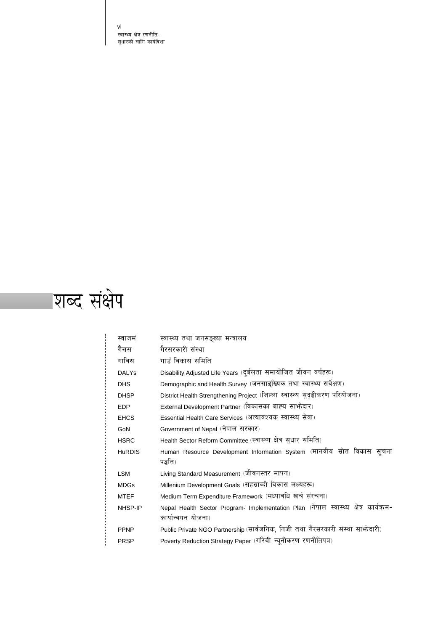vi स्वास्थ्य क्षेत्र रणनीति: सुधारको लागि कार्यदिशा



| स्वाजमं       | स्वास्थ्य तथा जनसङ्ख्या मन्त्रालय                                                    |
|---------------|--------------------------------------------------------------------------------------|
| गैसस          | गैरसरकारी संस्था                                                                     |
| गाविस         | गाउँ विकास समिति                                                                     |
| <b>DALYs</b>  | Disability Adjusted Life Years (दुर्बलता समायोजित जीवन वर्षहरू)                      |
| <b>DHS</b>    | Demographic and Health Survey (जनसाइख्यिक तथा स्वास्थ्य सर्वेक्षण)                   |
| <b>DHSP</b>   | District Health Strengthening Project (जिल्ला स्वास्थ्य सुदृढीकरण परियोजना)          |
| <b>EDP</b>    | External Development Partner (विकासका बाह्य साफ़ेदार)                                |
| <b>EHCS</b>   | Essential Health Care Services (अत्यावश्यक स्वास्थ्य सेवा)                           |
| GoN           | Government of Nepal (नेपाल सरकार)                                                    |
| <b>HSRC</b>   | Health Sector Reform Committee (स्वास्थ्य क्षेत्र सुधार समिति)                       |
| <b>HuRDIS</b> | Human Resource Development Information System (मानवीय स्रोत विकास सूचना              |
|               | पद्धति)                                                                              |
| <b>LSM</b>    | Living Standard Measurement (जीवनस्तर मापन)                                          |
| <b>MDGs</b>   | Millenium Development Goals (सहस्राब्दी विकास लक्ष्यहरू)                             |
| <b>MTEF</b>   | Medium Term Expenditure Framework (मध्यावधि खर्च संरचना)                             |
| NHSP-IP       | Nepal Health Sector Program- Implementation Plan (नेपाल स्वास्थ्य क्षेत्र कार्यक्रम- |
|               | कार्यान्वयन योजना)                                                                   |
| <b>PPNP</b>   | Public Private NGO Partnership (सार्वजनिक, निजी तथा गैरसरकारी संस्था साभ्रेदारी)     |
| <b>PRSP</b>   | Poverty Reduction Strategy Paper (गरिबी न्यूनीकरण रणनीतिपत्र)                        |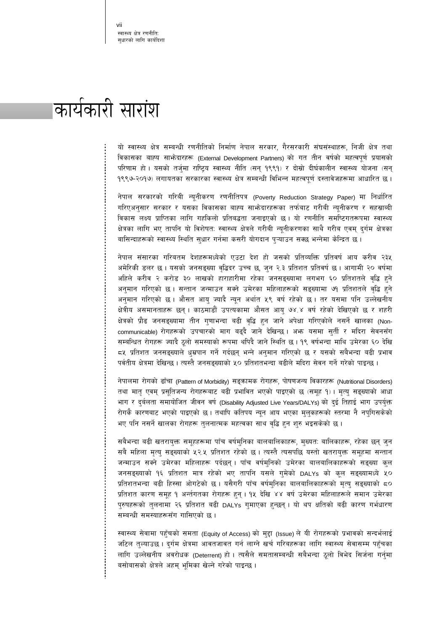# कार्यकारी सारांश

यो स्वास्थ्य क्षेत्र सम्बन्धी रणनीतिको निर्माण नेपाल सरकार, गैरसरकारी संघसंस्थाहरू, निजी क्षेत्र तथा विकासका बाह्य साभेदारहरू (External Development Partners) को गत तीन वर्षको महत्वपूर्ण प्रयासको परिणाम हो। यसको तर्जुमा राष्ट्रिय स्वास्थ्य नीति (सन् १९९१) र दोस्रो दीर्घकालीन स्वास्थ्य योजना (सन् १९९७-२०१७) लगायतका सरकारका स्वास्थ्य क्षेत्र सम्बन्धी विभिन्न महत्वपूर्ण दस्तावेजहरूमा आधारित छ।

नेपाल सरकारको गरिबी न्यूनीकरण रणनीतिपत्र (Poverty Reduction Strategy Paper) मा निर्धारित गरिएअनुसार सरकार र यसका विकासका बाह्य साभ्रेदारहरूका तर्फबाट गरीबी न्युनीकरण र सहस्राब्दी विकास लक्ष्य प्राप्तिका लागि गहकिलो प्रतिबद्धता जनाइएको छ। यो रणनीति समष्टिगतरूपमा स्वास्थ्य क्षेत्रका लागि भए तापनि यो विशेषत: स्वास्थ्य क्षेत्रले गरीबी न्यूनीकरणका साथै गरीब एवम् दुर्गम क्षेत्रका बासिन्दाहरूको स्वास्थ्य स्थिति सुधार गर्नमा कसरी योगदान प्ऱ्याउन सक्छ भन्नेमा केन्द्रित छ।

नेपाल संसारका गरिबतम देशहरूमध्येको एउटा देश हो जसको प्रतिव्यक्ति प्रतिवर्ष आय करीव २३५ अमेरिकी डलर छ। यसको जनसङ्ख्या वृद्धिदर उच्च छ, जुन २.३ प्रतिशत प्रतिवर्ष छ। आगामी २० वर्षमा अहिले करीव २ करोड ३० लाखको हाराहारीमा रहेका जनसङ्ख्यामा लगभग ६० प्रतिशतले वृद्धि हुने अनुमान गरिएको छ । सन्तान जन्माउन सक्ने उमेरका महिलाहरूको सङ्ख्यामा ७१ प्रतिशतले वृद्धि हुने अनुमान गरिएको छ । औसत आयु ज्यादै न्यून अर्थात ५९ वर्ष रहेको छ । तर यसमा पनि उल्लेखनीय क्षेत्रीय असमानताहरू छन् । काठमाडौं उपत्यकामा औसत आयु ७४.४ वर्ष रहेको देखिएको छ र शहरी क्षेत्रको प्रौढ जनसङ्ख्यामा तीन गुणाभन्दा बढी वृद्धि हुन जाने अपेक्षा गरिएकोले नसर्ने खालका (Noncommunicable) रोगहरूको उपचारको माग बढ्दै जाने देखिन्छ। अभ्र यसमा सुर्ती र मदिरा सेवनसँग सम्बन्धित रोगहरू ज्यादै ठुलो समस्याको रूपमा थपिदै जाने स्थिति छ। १९ वर्षभन्दा माथि उमेरका ६० देखि ८५ प्रतिशत जनसङ्ख्याले धुम्रपान गर्ने गर्दछन् भन्ने अनुमान गरिएको छ र यसको सबैभन्दा बढी प्रभाव पर्वतीय क्षेत्रमा देखिन्छ । त्यस्तै जनसङ्ख्याको ५० प्रतिशतभन्दा बढीले मदिरा सेवन गर्ने गरेको पाइन्छ ।

नेपालमा रोगको ढाँचा (Pattern of Morbidity) सङ्क्रामक रोगहरू, पोषणजन्य विकारहरू (Nutritional Disorders) तथा मातृ एवम् प्रसूतिजन्य रोगहरूबाट बढी प्रभावित भएको पाइएको छ (समूह १)। मृत्य् सङ्ख्याको आधा भाग र दुर्बलता समायोजित जीवन वर्ष (Disability Adjusted Live Years/DALYs) को दुई तिहाई भाग उपर्युक्त रोगकै कारणबाट भएको पाइएको छ। तथापि कतिपय न्यून आय भएका मुलुकहरूको स्तरमा नै नपुगिसकेको भए पनि नसर्ने खालका रोगहरू तुलनात्मक महत्वका साथ वृद्धि हुन शुरु भइसकेको छ।

सबैभन्दा बढी खतरायुक्त समूहहरूमा पाँच वर्षमुनिका बालबालिकाहरू, मुख्यत: बालिकाहरू, रहेका छन् जुन सबै महिला मृत्य सङ्ख्याको ५२.५ प्रतिशत रहेको छ । त्यस्तै त्यसपछि यस्तो खतरायुक्त समुहमा सन्तान जन्माउन सक्ने उमेरका महिलाहरू पर्दछन्। पाँच वर्षमुनिको उमेरका बालबालिकाहरूको सङ्ख्या कुल जनसङ्ख्याको १६ प्रतिशत मात्र रहेको भए तापनि यसले गुमेको DALYs को कूल सङ्ख्यामध्ये ५० प्रतिशतभन्दा बढी हिस्सा ओगटेको छ । यसैगरी पाँच वर्षम्निका बालबालिकाहरूको मृत्य् सङ्ख्याको ८० प्रतिशत कारण समूह १ अर्न्तगतका रोगहरू हुन् । १५ देखि ४४ वर्ष उमेरका महिलाहरूले समान उमेरका पुरुषहरूको तुलनामा २६ प्रतिशत बढी DALYs गुमाएका हुन्छन् । यो थप क्षतिको बढी कारण गर्भधारण सम्बन्धी समस्याहरूसँग गासिएको छ।

स्वास्थ्य सेवामा पहुँचको समता (Equity of Access) को मुद्दा (Issue) ले यी रोगहरूको प्रभावको सन्दर्भलाई जटिल त्ल्याउछ । दुर्गम क्षेत्रमा आवतजावत गर्न लाग्ने खर्च गरिबहरूका लागि स्वास्थ्य सेवासम्म पहुँचका लागि उल्लेखनीय अवरोधक (Deterrent) हो । त्यसैले समतासम्बन्धी सबैभन्दा ठूलो विभेद सिर्जना गर्नुमा बसोबासको क्षेत्रले अहम् भूमिका खेल्ने गरेको पाइन्छ ।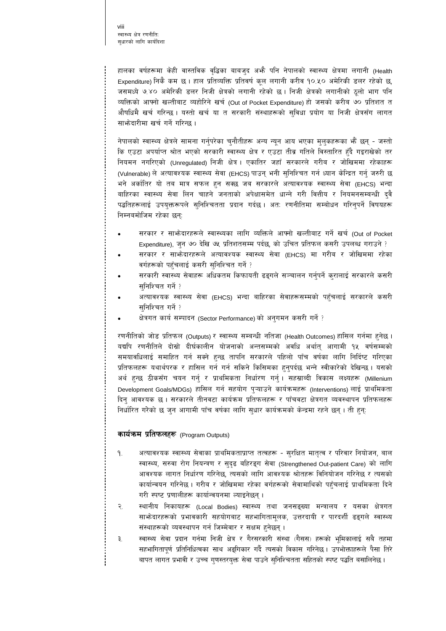हालका वर्षहरूमा केही वास्तविक वृद्धिका बाबज्**द अ**भै पनि नेपालको स्वास्थ्य क्षेत्रमा लगानी (Health Expenditure) निकै कम छ । हाल प्रतिव्यक्ति प्रतिवर्ष कूल लगानी करीव १०.५० अमेरिकी डलर रहेको छ, जसमध्ये ७.४० अमेरिकी डलर निजी क्षेत्रको लगानी रहेको छ । निजी क्षेत्रको लगानीको ठूलो भाग पनि व्यक्तिको आफ्नो खल्तीबाट व्यहोरिने खर्च (Out of Pocket Expenditure) हो जसको करीब ७० प्रतिशत त औषधिमै खर्च गरिन्छ । यस्तो खर्च या त सरकारी संस्थाहरूको सुविधा प्रयोग या निजी क्षेत्रसँग लागत साभ्रेदारीमा खर्च गर्ने गरिन्छ।

नेपालको स्वास्थ्य क्षेत्रले सामना गर्नुपरेका चुनौतीहरू अन्य न्यून आय भएका मुलुकहरूका भैं छन् - जस्तो कि एउटा अपर्याप्त श्रोत भएको सरकारी स्वास्थ्य क्षेत्र र एउटा तीव्र गतिले विस्तारित हुँदै गइराखेको तर नियमन नगरिएको (Unregulated) निजी क्षेत्र । एकातिर जहाँ सरकारले गरीब र जोखिममा रहेकाहरू (Vulnerable) ले अत्यावश्यक स्वास्थ्य सेवा (EHCS) पाउन् भनी सुनिश्चित गर्न ध्यान केन्द्रित गर्नु जरुरी छ भने अर्कातिर यो तब मात्र सफल हुन सक्छ जब सरकारले अत्यावश्यक स्वास्थ्य सेवा (EHCS) भन्दा बाहिरका स्वास्थ्य सेवा लिन चाहने जनताको अपेक्षासमेत धान्ने गरी वित्तीय र नियमनसम्बन्धी दुवै पद्धतिहरूलाई उपयुक्तरूपले सुनिश्चितता प्रदान गर्दछ । अतः रणनीतिमा सम्बोधन गरिनुपर्ने विषयहरू निम्नबमोजिम रहेका छन्:

- सरकार र साभ्रेदारहरूले स्वास्थ्यका लागि व्यक्तिले आफ्नो खल्तीबाट गर्ने खर्च (Out of Pocket Expenditure), जुन ७० देखि ७५ प्रतिशतसम्म पर्दछ, को उचित प्रतिफल कसरी उपलब्ध गराउने ?
- सरकार र साभ्रेदारहरूले अत्यावश्यक स्वास्थ्य सेवा (EHCS) मा गरीब र जोखिममा रहेका वर्गहरूको पहुँचलाई कसरी सुनिश्चित गर्ने ?
- सरकारी स्वास्थ्य सेवाहरू अधिकतम किफायती ढङ्गले सञ्चालन गर्नुपर्ने कुरालाई सरकारले कसरी सुनिश्चित गर्ने ?
- अत्यावश्यक स्वास्थ्य सेवा (EHCS) भन्दा बाहिरका सेवाहरूसम्मको पहुँचलाई सरकारले कसरी सुनिश्चित गर्ने ?
- क्षेत्रगत कार्य सम्पादन (Sector Performance) को अनुगमन कसरी गर्ने ?

रणनीतिको जोड प्रतिफल (Outputs) र स्वास्थ्य सम्बन्धी नतिजा (Health Outcomes) हासिल गर्नमा हुनेछ । यद्यपि रणनीतिले दोस्रो दीर्घकालीन योजनाको अन्तसम्मको अवधि अर्थात् आगामी १५ वर्षसम्मको समयावधिलाई समाहित गर्न सक्ने हुन्छ तापनि सरकारले पहिलो पाँच वर्षका लागि निर्दिष्ट गरिएका प्रतिफलहरू यथार्थपरक र हासिल गर्न गर्न सकिने किसिमका हुनुपर्दछ भन्ने स्वीकारेको देखिन्छ। यसको अर्थ हुन्छ ठीकसँग चयन गर्नु र प्राथमिकता निर्धारण गर्नु। सहस्राब्दी विकास लक्ष्यहरू (Millenium Development Goals/MDGs) हासिल गर्न सहयोग पुऱ्याउने कार्यक्रमहरू (Interventions) लाई प्राथमिकता दिन् आवश्यक छ । सरकारले तीनवटा कार्यक्रम प्रतिफलहरू र पाँचवटा क्षेत्रगत व्यवस्थापन प्रतिफलहरू निर्धारित गरेको छ जुन आगामी पाँच वर्षका लागि सुधार कार्यक्रमको केन्द्रमा रहने छन् । ती हुन्:

#### कार्यक्रम प्रतिफलहरू (Program Outputs)

- अत्यावश्यक स्वास्थ्य सेवाका प्राथमिकताप्राप्त तत्वहरू सुरक्षित मातृत्व र परिवार नियोजन, बाल ٩. स्वास्थ्य, सरुवा रोग नियन्त्रण र सुदृढ बहिरङ्ग सेवा (Strengthened Out-patient Care) को लागि आवश्यक लागत निर्धारण गरिनेछ, त्यसको लागि आवश्यक श्रोतहरू विनियोजन गरिनेछ र त्यसको कार्यान्वयन गरिनेछ । गरीब र जोखिममा रहेका वर्गहरूको सेवामाथिको पहुँचलाई प्राथमिकता दिने गरी स्पष्ट प्रणालीहरू कार्यान्वयनमा ल्याइनेछन्।
- $\tilde{\mathcal{R}}$ स्थानीय निकायहरू (Local Bodies) स्वास्थ्य तथा जनसङ्ख्या मन्त्रालय र यसका क्षेत्रगत साभोदारहरूको प्रभावकारी सहयोगबाट सहभागितामूलक, उत्तरदायी र पारदर्शी ढङ्गले स्वास्थ्य संस्थाहरूको व्यवस्थापन गर्न जिम्मेवार र सक्षम हुनेछन् ।
- स्वास्थ्य सेवा प्रदान गर्नमा निजी क्षेत्र र गैरसरकारी संस्था (गैसस) हरूको भूमिकालाई सबै तहमा ३. सहभागितापूर्ण प्रतिनिधित्वका साथ अङ्गिकार गर्दै त्यसको विकास गरिनेछ। उपभोक्ताहरूले पैसा तिरे बापत लागत प्रभावी र उच्च गुणस्तरयुक्त सेवा पाउने सुनिश्चितता सहितको स्पष्ट पद्धति बसालिनेछ।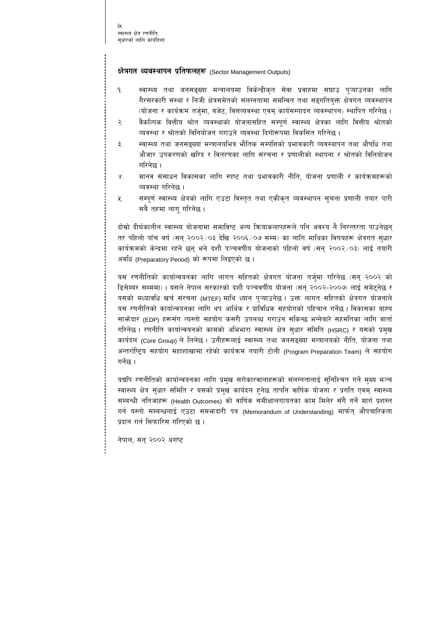#### क्षेत्रगत व्यवस्थापन प्रतिफलहरू (Sector Management Outputs)

- स्वास्थ्य तथा जनसङ्ख्या मन्त्रालयमा विकेन्द्रीकृत सेवा प्रवाहमा सघाउ पऱ्याउनका लागि  $9.$ गैरसरकारी संस्था र निजी क्षेत्रसमेतको संलग्नतामा समन्वित तथा सङ्गतियक्त क्षेत्रगत व्यवस्थापन (योजना र कार्यक्रम तर्जुमा, बजेट, वित्तव्यवस्था एवम् कार्यसम्पादन व्यवस्थापन) स्थापित गरिनेछ ।
- वैकल्पिक वित्तीय श्रोत व्यवस्थाको योजनासहित सम्पूर्ण स्वास्थ्य क्षेत्रका लागि वित्तीय श्रोतको  $\overline{R}$ व्यवस्था र श्रोतको विनियोजन गराउने व्यवस्था दिगोरूपमा विकसित गरिनेछ ।
- स्वास्थ्य तथा जनसङ्ख्या मन्त्रालयभित्र भौतिक सम्पत्तिको प्रभावकारी व्यवस्थापन तथा औषधि तथा ₹. औजार उपकरणको खरिद र वितरणका लागि संरचना र प्रणालीको स्थापना र श्रोतको विनियोजन गरिनेछ ।
- $X^{\dagger}$ मानव संसाधन विकासका लागि स्पष्ट तथा प्रभावकारी नीति. योजना प्रणाली र कार्यक्रमहरूको व्यवस्था गरिनेछ ।
- सम्पूर्ण स्वास्थ्य क्षेत्रको लागि एउटा विस्तृत तथा एकीकृत व्यवस्थापन सूचना प्रणाली तयार पारी ५. सबै तहमा लाग गरिनेछ ।

दोस्रो दीर्घकालीन स्वास्थ्य योजनामा समाविष्ट अन्य क्रियाकलापहरूले पनि अवश्य नै निरन्तरता पाउनेछन तर पहिलो पाँच वर्ष (सन २००२/०३ देखि २००६/०७ सम्म) का लागि माथिका विषयहरू क्षेत्रगत सधार कार्यक्रमको केन्द्रमा रहने छन् भने दशौँ पञ्चवर्षीय योजनाको पहिलो वर्ष (सन् २००२/०३) लाई तयारी अवधि (Preparatory Period) को रूपमा लिइएको छ।

यस रणनीतिको कार्यान्वयनका लागि लागत सहितको क्षेत्रगत योजना तर्जमा गरिनेछ (सन् २००२ को डिसेम्बर सम्ममा) । यसले नेपाल सरकारको दशौँ पञ्चवर्षीय योजना (सन् २००२-२००७) लाई समेट्नेछ र यसको मध्यावधि खर्च संरचना (MTEF) माथि ध्यान प्**ऱ्याउनेछ । उक्त लागत सहितको क्षेत्रगत** योजनाले यस रणनीतिको कार्यान्वयनका लागि थप आर्थिक र प्राविधिक सहयोगको पहिचान गर्नेछ । विकासका बाह्य साभेदार (EDP) हरूसँग त्यस्तो सहयोग कसरी उपलब्ध गराउन सकिन्छ भन्नेबारे सहमतिका लागि वार्ता गरिनेछ। रणनीति कार्यान्वयनको कामको अभिभारा स्वास्थ्य क्षेत्र सुधार समिति (HSRC) र यसको प्रमुख कार्यदल (Core Group) ले लिनेछ। उनीहरूलाई स्वास्थ्य तथा जनसङ्ख्या मन्त्रालयको नीति, योजना तथा अन्तर्राष्ट्रिय सहयोग महाशाखामा रहेको कार्यक्रम तयारी टोली (Program Preparation Team) ले सहयोग गर्नेछ ।

यद्यपि रणनीतिको कार्यान्वयनका लागि प्रमुख सरोकारवालाहरूको संलग्नतालाई सुनिश्चित गर्ने मुख्य मञ्च स्वास्थ्य क्षेत्र सधार समिति र यसको प्रमख कार्यदल हुनेछ तापनि वार्षिक योजना र प्रगति एवम स्वास्थ्य सम्बन्धी नतिजाहरू (Health Outcomes) को वार्षिक समीक्षालगायतका काम मिलेर सँगै गर्ने मार्ग प्रशस्त गर्न यस्तो सम्बन्धलाई एउटा समभन्दारी पत्र (Memorandum of Understanding) मार्फत् औपचारिकता प्रदान गर्न सिफारिस गरिएको छ।

नेपाल, सन् २००२ अगष्ट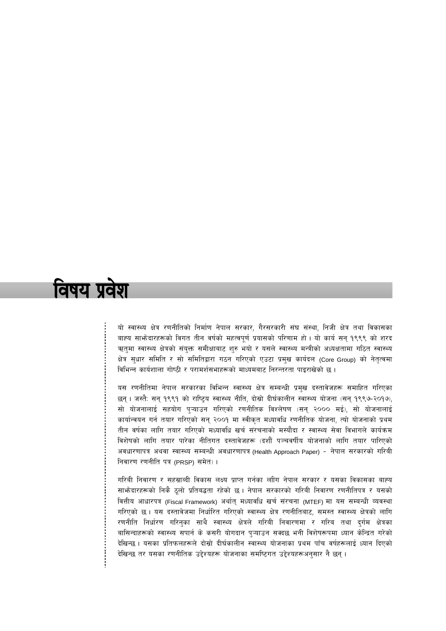# विषय प्रवेश

यो स्वास्थ्य क्षेत्र रणनीतिको निर्माण नेपाल सरकार, गैरसरकारी संघ संस्था, निजी क्षेत्र तथा विकासका बाह्य साभ्रेदारहरूको विगत तीन वर्षको महत्वपूर्ण प्रयासको परिणाम हो। यो कार्य सन् १९९९ को शरद ऋतुमा स्वास्थ्य क्षेत्रको संयुक्त समीक्षाबाट शुरु भयो र यसले स्वास्थ्य मन्त्रीको अध्यक्षतामा गठित स्वास्थ्य क्षेत्र सुधार समिति र सो समितिद्वारा गठन गरिएको एउटा प्रमुख कार्यदल (Core Group) को नेतृत्वमा विभिन्न कार्यशाला गोष्ठी र परामर्शसभाहरूको माध्यमबाट निरन्तरता पाइराखेको छ ।

यस रणनीतिमा नेपाल सरकारका विभिन्न स्वास्थ्य क्षेत्र सम्बन्धी प्रमुख दस्तावेजहरू समाहित गरिएका छन। जस्तै: सन १९९१ को राष्टिय स्वास्थ्य नीति, दोस्रो दीर्घकालीन स्वास्थ्य योजना (सन १९९७-२०१७), सो योजनालाई सहयोग प्ऱ्याउन गरिएको रणनीतिक विश्लेषण (सन् २००० मई), सो योजनालाई कार्यान्वयन गर्न तयार गरिएको सन् २००१ मा स्वीकृत मध्यावधि रणनीतिक योजना, त्यो योजनाको प्रथम तीन वर्षका लागि तयार गरिएको मध्यावधि खर्च संरचनाको मस्यौदा र स्वास्थ्य सेवा विभागले कार्यक्रम विशेषको लागि तयार पारेका नीतिगत दस्तावेजहरू (दशौँ पञ्चवर्षीय योजनाको लागि तयार पारिएको अवधारणापत्र अथवा स्वास्थ्य सम्बन्धी अवधारणापत्र (Health Approach Paper) - नेपाल सरकारको गरिबी निवारण रणनीति पत्र (PRSP) समेत)।

गरिबी निवारण र सहस्राब्दी विकास लक्ष्य प्राप्त गर्नका लाीग नेपाल सरकार र यसका विकासका बाह्य साभेदारहरूको निकै ठुलो प्रतिबद्धता रहेको छ । नेपाल सरकारको गरिबी निवारण रणनीतिपत्र र यसको वित्तीय आधारपत्र (Fiscal Framework) अर्थात् मध्यावधि खर्च संरचना (MTEF) मा यस सम्बन्धी व्यवस्था गरिएको छ। यस दस्तावेजमा निर्धारित गरिएको स्वास्थ्य क्षेत्र रणनीतिबाट, समस्त स्वास्थ्य क्षेत्रको लागि रणनीति निर्धारण गरिनुका साथै स्वास्थ्य क्षेत्रले गरिबी निवारणमा र गरिब तथा दुर्गम क्षेत्रका बासिन्दाहरूको स्वास्थ्य सपार्न के कसरी योगदान पऱ्याउन सक्दछ भनी विशेषरूपमा ध्यान केन्द्रित गरेको देखिन्छ । यसका प्रतिफलहरूले दोस्रो दीर्घकालीन स्वास्थ्य योजनाका प्रथम पाँच वर्षहरूलाई ध्यान दिएको देखिन्छ तर यसका रणनीतिक उद्देश्यहरू योजनाका समष्टिगत उद्देश्यहरूअनुसार नै छन् ।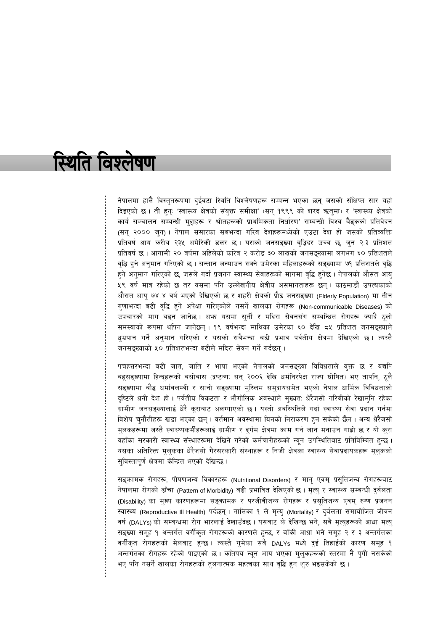# स्थिति विश्लेषण

नेपालमा हालै विस्तृतरूपमा दुईवटा स्थिति विश्लेषणहरू सम्पन्न भएका छन् जसको संक्षिप्त सार यहाँ दिइएको छ । ती हुन्: 'स्वास्थ्य क्षेत्रको संयुक्त समीक्षा' (सन् १९९९ को शरद ऋतुमा) र 'स्वास्थ्य क्षेत्रको कार्य सञ्चालन सम्बन्धी मुद्दाहरू र श्रोतहरूको प्राथमिकता निर्धारण' सम्बन्धी विश्व बैङ्कको प्रतिवेदन (सन् २००० जुन)। नेपाल संसारका सबभन्दा गरिब देशहरूमध्येको एउटा देश हो जसको प्रतिव्यक्ति प्रतिवर्ष आय करीब २३५ अमेरिकी डलर छ। यसको जनसङ्ख्या वृद्धिदर उच्च छ, जुन २.३ प्रतिशत प्रतिवर्ष छ । आगामी २० वर्षमा अहिलेको करिव २ करोड ३० लाखको जनसङ्ख्यामा लगभग ६० प्रतिशतले वृद्धि हुने अनुमान गरिएको छ । सन्तान जन्माउन सक्ने उमेरका महिलाहरूको सङ्ख्यामा ७१ प्रतिशतले वृद्धि हने अनुमान गरिएको छ, जसले गर्दा प्रजनन स्वास्थ्य सेवाहरूको मागमा वृद्धि हनेछ । नेपालको औसत आयु ५९ वर्ष मात्र रहेको छ तर यसमा पनि उल्लेखनीय क्षेत्रीय असमानताहरू छन् । काठमाडौँ उपत्यकाको औसत आयु ७४.४ वर्ष भएको देखिएको छ र शहरी क्षेत्रको प्रौढ जनसङ्ख्या (Elderly Population) मा तीन गुणाभन्दा बढी वृद्धि हुने अपेक्षा गरिएकोले नसर्ने खालका रोगहरू (Non-communicable Diseases) को उपचारको माग बढ्न जानेछ । अफ्न यसमा सुर्ती र मदिरा सेवनसँग सम्बन्धित रोगहरू ज्यादै ठूलो समस्याको रूपमा थपिन जानेछन् । १९ वर्षभन्दा माथिका उमेरका ६० देखि ८५ प्रतिशत जनसङ्ख्याले धुम्रपान गर्ने अनुमान गरिएको र यसको सबैभन्दा बढी प्रभाव पर्वतीय क्षेत्रमा देखिएको छ । त्यस्तै जनसङ्ख्याको ५० प्रतिशतभन्दा बढीले मदिरा सेवन गर्ने गर्दछन्।

पचहत्तरभन्दा बढी जात, जाति र भाषा भएको नेपालको जनसङ्ख्या विविधताले युक्त छ र यद्यपि बहुसङ्ख्यामा हिन्दूहरूको बसोबास (द्रष्टव्य: सन् २००६ देखि धर्मनिरपेक्ष राज्य घोषित) भए तापनि, ठूलै सङ्ख्यामा बौद्ध धर्मावलम्बी र सानो सङ्ख्यामा मुस्लिम समुदायसमेत भएको नेपाल धार्मिक विविधताको दृष्टिले धनी देश हो । पर्वतीय विकटता र भौगोलिक अवस्थाले मुख्यत: धेरैजसो गरिबीको रेखामुनि रहेका ग्रामीण जनसङ्ख्यालाई धेरै कुराबाट अलग्याएको छ । यस्तो अवस्थितिले गर्दा स्वास्थ्य सेवा प्रदान गर्नमा विशेष चुनौतीहरू खडा भएका छन् । वर्तमान अवस्थामा यिनको निराकरण हुन सकेको छैन । अन्य धेरैजसो मुलकहरूमा जस्तै स्वास्थ्यकर्मीहरूलाई ग्रामीण र दुर्गम क्षेत्रमा काम गर्न जान मनाउन गाह्रो छ र यो कुरा यहाँका सरकारी स्वास्थ्य संस्थाहरूमा देखिने गरेको कर्मचारीहरूको न्यून उपस्थितिबाट प्रतिविम्बित हुन्छ । यसका अतिरिक्त मुलुकका धेरैजसो गैरसरकारी संस्थाहरू र निजी क्षेत्रका स्वास्थ्य सेवाप्रदायकहरू मुलुकको सुविस्तापूर्ण क्षेत्रमा केन्द्रित भएको देखिन्छ ।

सङ्कामक रोगहरू, पोषणजन्य विकारहरू (Nutritional Disorders) र मातृ एवम् प्रसूतिजन्य रोगहरूबाट नेपालमा रोगको ढाँचा (Pattern of Morbidity) बढी प्रभावित देखिएको छ । मृत्यु र स्वास्थ्य सम्बन्धी दुर्बलता (Disability) का मुख्य कारणहरूमा सङ्कामक र परजीवीजन्य रोगहरू र प्रसूतिजन्य एवम् रुग्ण प्रजनन स्वास्थ्य (Reproductive III Health) पर्दछन् । तालिका १ ले मृत्यु (Mortality) र दुर्बलता समायोजित जीवन वर्ष (DALYs) को सम्बन्धमा रोग भारलाई देखाउँदछ । यसबाट के देखिन्छ भने, सबै मृत्युहरूको आधा मृत्य् सङ्ख्या समूह १ अन्तर्गत वर्गीकृत रोगहरूको कारणले हुन्छ, र बाँकी आधा भने समूह २ र ३ अन्तर्गतका वर्गीकृत रोगहरूको मेलबाट हुन्छ। त्यस्तै गुमेका सबै DALYs मध्ये दुई तिहाईको कारण समूह १ अन्तर्गतका रोगहरू रहेको पाइएको छ। कतिपय न्यून आय भएका मुलुकहरूको स्तरमा नै पुगी नसकेको भए पनि नसर्ने खालका रोगहरूको तुलनात्मक महत्वका साथ वृद्धि हुन शुरु भइसकेको छ ।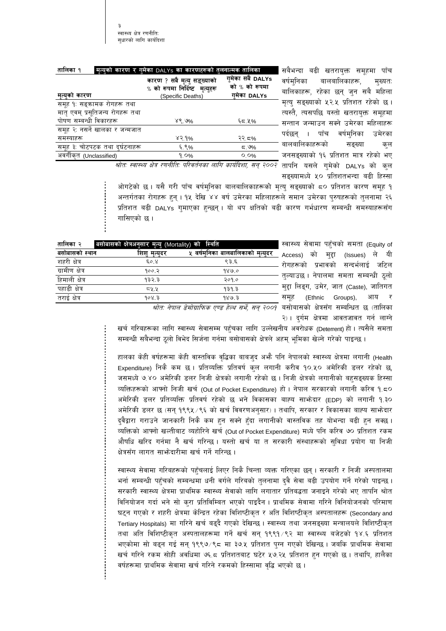| तालिका १<br>मृत्युको कारण र गुमेका DALYs का कारणहरूको तुलनात्मक तालिका |                                                                                    |                                                   | बढी खतरायुक्त समूहमा<br>सबैभन्दा<br>पॉच                                    |  |
|------------------------------------------------------------------------|------------------------------------------------------------------------------------|---------------------------------------------------|----------------------------------------------------------------------------|--|
| मृत्युको कारण                                                          | कारण ? सबै मृत्यु सङ्ख्याको<br>% को रूपमा निर्दिष्ट मृत्युहरू<br>(Specific Deaths) | गुमेका सबै DALYs<br>को % को रूपमा<br>गुमेका DALYs | वर्षमनिका<br>बालबालिकाहरू,<br>मख्यत∶<br>बालिकाहरू, रहेका छन् जुन सबै महिला |  |
| समूह १: सङ्कामक रोगहरू तथा                                             |                                                                                    |                                                   | मृत्यु सङ्ख्याको ५२.५ प्रतिशत रहेको छ।                                     |  |
| मातृ एवम् प्रसूतिजन्य रोगहरू तथा                                       |                                                                                    |                                                   | त्यस्तै, त्यसपछि यस्तो खतरायुक्त समूहमा                                    |  |
| पोषण सम्बन्धी विकारहरू                                                 | ४९.७%                                                                              | ६८.५%                                             | सन्तान जन्माउन सक्ने उमेरका महिलाहरू                                       |  |
| समूह २: नसर्ने खालका र जन्मजात                                         |                                                                                    |                                                   | वर्षम्निका<br>उमेरका<br>पॉच                                                |  |
| समस्याहरू                                                              | ४२.१%                                                                              | २२.८%                                             | पदछन                                                                       |  |
| समूह ३: चोटपटक तथा दुर्घटनाहरू                                         | ६.९%                                                                               | ≂. ಅ%                                             | बालबालिकाहरूको<br>सङख्या<br>कल                                             |  |
| अवर्गीकृत (Unclassified)                                               | $9.0\%$                                                                            | $O_1O\%$                                          | जनसङ्ख्याको १६ प्रतिशत मात्र रहेको भए                                      |  |
| المتشاهد المستنسب المستشاه                                             | $\overline{\phantom{a}}$                                                           | $\frac{1}{2}$                                     |                                                                            |  |

*श्रोत: स्वास्थ्य क्षेत्र रणनीति: परिवर्तनका लागि कार्यदिशा, सन् २००२* तापनि यसले गुमेको DALYs को कुल सङ्ख्यामध्ये ५० प्रतिशतभन्दा बढी हिस्सा

ओगटेको छ । यसै गरी पाँच वर्षमुनिका बालबालिकाहरूको मृत्यु सङ्ख्याको ८० प्रतिशत कारण समूह १ अन्तर्गतका रोगहरू हुन् । १५ देखि ४४ वर्ष उमेरका महिलाहरूले समान उमेरका पुरुषहरूको तुलनामा २६ प्रतिशत बढी DALYs गुमाएका हुन्छन् । यो थप क्षतिको बढी कारण गर्भधारण सम्बन्धी समस्याहरूसँग गासिएको छ ।

| बसोबासको स्थान<br>मत्यदर<br>शिश<br>शहरी क्षेत्र<br>$E^{\circ}$ .8<br>९३.६<br>ग्रामीण क्षेत्र<br>१००.२<br>१४७.०<br>हिमाली क्षेत्र<br>२०१.०<br>932.3 | तालिका २ | बसोबासको क्षेत्रअनुसार मृत्यु (Mortality) को स्थिति |                                  |
|----------------------------------------------------------------------------------------------------------------------------------------------------|----------|-----------------------------------------------------|----------------------------------|
|                                                                                                                                                    |          |                                                     | ५ वर्षमनिका बालबालिकाको मृत्युदर |
|                                                                                                                                                    |          |                                                     |                                  |
|                                                                                                                                                    |          |                                                     |                                  |
|                                                                                                                                                    |          |                                                     |                                  |
| पहाडी क्षेत्र<br>74.4<br>939.3                                                                                                                     |          |                                                     |                                  |
| तराई क्षेत्र<br>908.3<br>989.3                                                                                                                     |          |                                                     |                                  |

स्वास्थ्य सेवामा पहुँचको समता (Equity of Access) को मुद्दा (Issues) ले यी रोगहरूको प्रभावको सन्दर्भलाई जटिल तुल्याउछ । नेपालमा समता सम्बन्धी ठूलो मुद्दा लिङ्ग, उमेर, जात (Caste), जातिगत समूह (Ethnic Groups), आय र *श्रोत: नेपाल डेमोग्राफिक एण्ड हेल्थ सर्भे, सन् २००*१ बसोबासको क्षेत्रसँग सम्बन्धित छ (तालिका

२) । दुर्गम क्षेत्रमा आवतजावत गर्न लाग्ने

खर्च गरिबहरूका लागि स्वास्थ्य सेवासम्म पहुँचका लागि उल्लेखनीय अवरोधक (Deterrent) हो । त्यसैले समता सम्बन्धी सबैभन्दा ठूलो विभेद सिर्जना गर्नमा बसोबासको क्षेत्रले अहम् भूमिका खेल्ने गरेको पाइन्छ ।

हालका केही वर्षहरूमा केही वास्तविक वृद्धिका बाबजुद अभौ पनि नेपालको स्वास्थ्य क्षेत्रमा लगानी (Health Expenditure) निकै कम छ । प्रतिव्यक्ति प्रतिवर्ष कुल लगानी करीव १०.५० अमेरिकी डलर रहेको छ, जसमध्ये ७.४० अमेरिकी डलर निजी क्षेत्रको लगानी रहेको छ । निजी क्षेत्रको लगानीको बहुसङ्ख्यक हिस्सा व्यक्तिहरूको आफ्नो निजी खर्च (Out of Pocket Expenditure) हो । नेपाल सरकारको लगानी करिव १.८० अमेरिकी डलर प्रतिव्यक्ति प्रतिवर्ष रहेको छ भने विकासका बाह्य साभ्गेदार (EDP) को लगानी १.३० अमेरिकी डलर छ (सन् १९९५ ⁄९६ को खर्च विवरणअनुसार) । तथापि, सरकार र विकासका बाह्य साभोदार दुवैद्वारा गराउने जानकारी निकै कम हुन सक्ने हुँदा लगानीको वास्तविक तह योभन्दा बढी हुन सक्छ । व्यक्तिको आफ्नो खल्तीबाट व्यहोरिने खर्च (Out of Pocket Expenditure) मध्ये पनि करिव ७० प्रतिशत रकम औषधि खरिद गर्नमा नै खर्च गरिन्छ । यस्तो खर्च या त सरकारी संस्थाहरूको सुविधा प्रयोग या निजी क्षेत्रसँग लागत साभ्रेदारीमा खर्च गर्ने गरिन्छ ।

स्वास्थ्य सेवामा गरिबहरूको पहुँचलाई लिएर निकै चिन्ता व्यक्त गरिएका छन् । सरकारी र निजी अस्पतालमा भर्ना सम्बन्धी पहुँचको सम्बन्धमा धनी वर्गले गरिबको तुलनामा दुवै सेवा बढी उपयोग गर्ने गरेको पाइन्छ । सरकारी स्वास्थ्य क्षेत्रमा प्राथमिक स्वास्थ्य सेवाको लागि लगातार प्रतिबद्धता जनाइने गरेको भए तापनि श्रोत विनियोजन गर्दा भने सो कुरा प्रतिविम्बित भएको पाइदैन । प्राथमिक सेवामा गरिने विनियोजनको परिमाण घटन गएको र शहरी क्षेत्रमा केन्द्रित रहेका विशिष्टीकृत र अति विशिष्टीकृत अस्पतालहरू (Secondary and Tertiary Hospitals) मा गरिने खर्च बढ्दै गएको देखिन्छ। स्वास्थ्य तथा जनसङ्ख्या मन्त्रालयले विशिष्टीकृत तथा अति विशिष्टीकृत अस्पतालहरूमा गर्ने खर्च सन् १९९१ ⁄९२ मा स्वास्थ्य बजेटको १४.६ प्रतिशत भएकोमा सो बढ्न गई सन् १९९७⁄९८ मा ३७.४ प्रतिशत पुग्न गएको देखिन्छ । जबकि प्राथमिक सेवामा खर्च गरिने रकम सोही अवधिमा ७६.८ प्रतिशतबाट घटेर ५७.२५ प्रतिशत हुन गएको छ । तथापि, हालैका वर्षहरूमा प्राथमिक सेवामा खर्च गरिने रकमको हिस्सामा वृद्धि भएको छ ।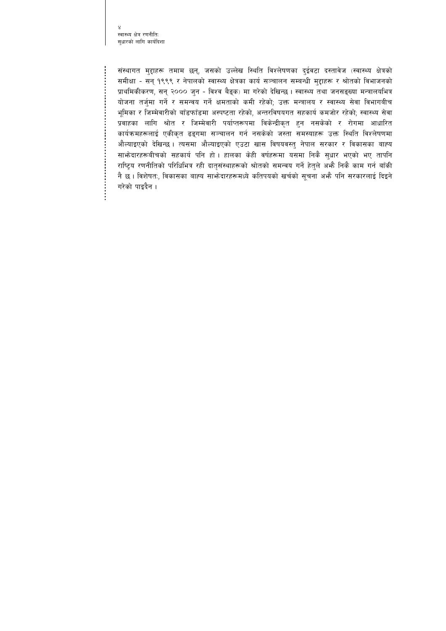स्वास्थ्य क्षेत्र रणनीतिः सुधारको लागि कार्यदिशा

संस्थागत मुद्दाहरू तमाम छन्, जसको उल्लेख स्थिति विश्लेषणका दुईवटा दस्तावेज (स्वास्थ्य क्षेत्रको समीक्षा - सन् १९९९ र नेपालको स्वास्थ्य क्षेत्रका कार्य सञ्चालन सम्बन्धी मुद्दाहरू र श्रोतको विभाजनको प्राथमिकीकरण, सन् २००० जुन - विश्व बैङ्क) मा गरेको देखिन्छ। स्वास्थ्य तथा जनसङ्ख्या मन्त्रालयभित्र योजना तर्जुमा गर्ने र समन्वय गर्ने क्षमताको कमी रहेको; उक्त मन्त्रालय र स्वास्थ्य सेवा विभागबीच भूमिका र जिम्मेवारीको बाँडफाँडमा अस्पष्टता रहेको, अन्तरविषयगत सहकार्य कमजोर रहेको; स्वास्थ्य सेवा प्रवाहका लागि श्रोत र जिम्मेवारी पर्याप्तरूपमा विकेन्द्रीकृत हुन नसकेको र रोगमा आधारित कार्यक्रमहरूलाई एकीकृत ढङ्गमा सञ्चालन गर्न नसकेको जस्ता समस्याहरू उक्त स्थिति विश्लेषणमा औल्याइएको देखिन्छ। त्यसमा औल्याइएको एउटा खास विषयवस्तु नेपाल सरकार र विकासका बाह्य साभेदारहरूबीचको सहकार्य पनि हो। हालका केही वर्षहरूमा यसमा निकै सुधार भएको भए तापनि राष्ट्रिय रणनीतिको परिधिभित्र रही दातृसंस्थाहरूको श्रोतको समन्वय गर्ने हेतुले अभ्गै निकै काम गर्न बाँकी नै छ। विशेषत:, विकासका बाह्य साभेदारहरूमध्ये कतिपयको खर्चको सुचना अभै पनि सरकारलाई दिइने गरेको पाइदैन ।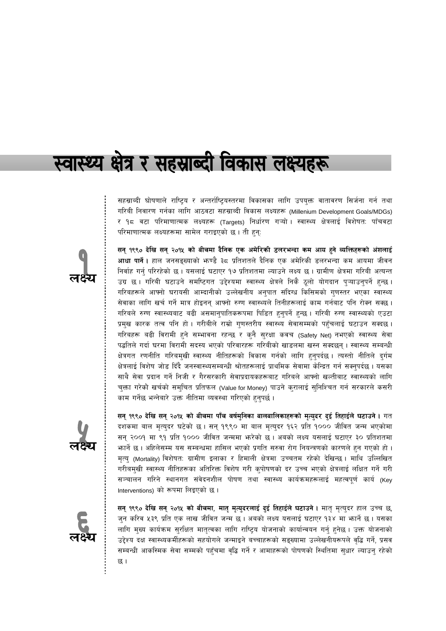# स्वास्थ्य क्षेत्र र सहस्राब्दी विकास लक्ष्यहरू

सहस्राब्दी घोषणाले राष्ट्रिय र अन्तर्राष्ट्रियस्तरमा विकासका लागि उपयुक्त वातावरण सिर्जना गर्न तथा गरिबी निवारण गर्नका लागि आठवटा सहस्राब्दी विकास लक्ष्यहरू (Millenium Development Goals/MDGs) र १८ वटा परिमाणात्मक लक्ष्यहरू (Targets) निर्धारण गऱ्यो । स्वास्थ्य क्षेत्रलाई विशेषतः पाँचवटा परिमाणात्मक लक्ष्यहरूमा सामेल गराइएको छ। ती हन्:

सन् १९९० देखि सन् २०१५ को बीचमा दैनिक एक अमेरिकी डलरभन्दा कम आय हुने व्यक्तिहरूको अंशलाई **आधा पार्ने।** हाल जनसङ्ख्याको भाण्डै ३८ प्रतिशतले दैनिक एक अमेरिकी डलरभन्दा कम आयमा जीवन निर्वाह गर्न् परिरहेको छ । यसलाई घटाएर १७ प्रतिशतमा ल्याउने लक्ष्य छ । ग्रामीण क्षेत्रमा गरिबी अत्यन्त उग्र छ । गरिबी घटाउने समष्टिगत उद्देश्यमा स्वास्थ्य क्षेत्रले निकै ठूलो योगदान पुऱ्याउनुपर्ने हुन्छ । गरिबहरूले आफ्नो घरायसी आम्दानीको उल्लेखनीय अनुपात संदिग्ध किसिमको गुणस्तर भएका स्वास्थ्य सेवाका लागि खर्च गर्ने मात्र होइनन् आफ्नो रुग्ण स्वास्थ्यले तिनीहरूलाई काम गर्नबाट पनि रोक्न सक्छ । गरिबले रुग्ण स्वास्थ्यबाट बढी असमान्पातिकरूपमा पिडित हुनुपर्ने हुन्छ । गरिबी रुग्ण स्वास्थ्यको एउटा प्रमुख कारक तत्व पनि हो । गरीबीले राम्रो गुणस्तरीय स्वास्थ्य सेवासम्मको पहुँचलाई घटाउन सक्दछ । गरिबहरू बढी विरामी हुने सम्भावना रहन्छ र कुनै सुरक्षा कवच (Safety Net) नभएको स्वास्थ्य सेवा पद्धतिले गर्दा घरमा विरामी सदस्य भएको परिवारहरू गरिबीको खाडलमा खस्न सक्दछन्। स्वास्थ्य सम्बन्धी क्षेत्रगत रणनीति गरिबमुखी स्वास्थ्य नीतिहरूको विकास गर्नको लागि हुनुपर्दछ । त्यस्तो नीतिले दुर्गम क्षेत्रलाई विशेष जोड दिँदै जनस्वास्थ्यसम्बन्धी श्रोतहरूलाई प्राथमिक सेवामा केन्द्रित गर्न सक्नुपर्दछ । यसका साथै सेवा प्रदान गर्ने निजी र गैरसरकारी सेवाप्रदायकहरूबाट गरिबले आफ्नो खल्तीबाट स्वास्थ्यको लागि चुक्ता गरेको खर्चको समुचित प्रतिफल (Value for Money) पाउने कुरालाई सुनिश्चित गर्न सरकारले कसरी काम गर्नेछ भन्नेबारे उक्त नीतिमा व्यवस्था गरिएको हुनुपर्छ ।



सन् १९९० देखि सन् २०१५ को बीचमा पाँच वर्षमुनिका बालबालिकाहरूको मृत्युदर दुई तिहाईले घटाउने । गत दशकमा बाल मृत्युदर घटेको छ। सन् १९९० मा बाल मृत्युदर १६२ प्रति १००० जीवित जन्म भएकोमा सन् २००१ मा ९१ प्रति १००० जीवित जन्ममा भरेको छ। अबको लक्ष्य यसलाई घटाएर ३० प्रतिशतमा भार्ने छ। अहिलेसम्म यस सम्बन्धमा हासिल भएको प्रगति सरुवा रोग नियन्त्रणको कारणले हुन गएको हो । मृत्य् (Mortality) विशेषत: ग्रामीण इलाका र हिमाली क्षेत्रमा उच्चतम रहेको देखिन्छ। माथि उल्लिखित गरीबमुखी स्वास्थ्य नीतिहरूका अतिरिक्त विशेष गरी कुपोषणको दर उच्च भएको क्षेत्रलाई लक्षित गर्ने गरी सञ्चालन गरिने स्थानगत संवेदनशील पोषण तथा स्वास्थ्य कार्यक्रमहरूलाई महत्वपूर्ण कार्य (Key Interventions) को रूपमा लिइएको छ।

सन् १९९० देखि सन् २०१५ को बीचमा, मातृ मृत्युदरलाई दुई तिहाईले घटाउने। मातृ मृत्युदर हाल उच्च छ, जुन करिव ५३९ प्रति एक लाख जीवित जन्म छ । अबको लक्ष्य यसलाई घटाएर १३४ मा भार्ने छ । यसका लागि मुख्य कार्यक्रम सुरक्षित मातृत्वका लागि राष्ट्रिय योजनाको कार्यान्वयन गर्न् हुनेछ । उक्त योजनाको उद्देश्य दक्ष स्वास्थ्यकर्मीहरूको सहयोगले जन्माइने बच्चाहरूको सङ्ख्यामा उल्लेखनीयरूपले वृद्धि गर्ने, प्रसव सम्बन्धी आकस्मिक सेवा सम्मको पहुँचमा वृद्धि गर्ने र आमाहरूको पोषणको स्थितिमा सुधार ल्याउनु रहेको छ ।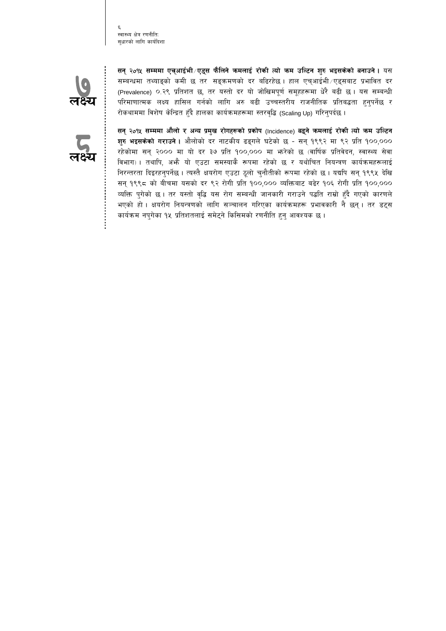स्वास्थ्य क्षेत्र रणनीतिः सुधारको लागि कार्यदिशा



सन् २०१५ सम्ममा एच्आईभी ⁄ एड्स फैलिने कमलाई रोकी त्यो कम उल्टिन शुरु भइसकेको बनाउने । यस सम्बन्धमा तथ्याङ्को कमी छ तर सङ्क्रमणको दर बढिरहेछ। हाल एच्आईभी ∕एड्सबाट प्रभावित दर (Prevalence) ०.२९ प्रतिशत छ, तर यस्तो दर यो जोखिमपूर्ण समूहहरूमा धेरै बढी छ । यस सम्बन्धी परिमाणात्मक लक्ष्य हासिल गर्नको लागि अरु बढी उच्चस्तरीय राजनीतिक प्रतिबद्धता हुनुपर्नेछ र रोकथाममा विशेष केन्द्रित हुँदै हालका कार्यक्रमहरूमा स्तरवृद्धि (Scaling Up) गरिनुपर्दछ ।



सन् २०१५ सम्ममा औलो र अन्य प्रमुख रोगहरूको प्रकोप (Incidence) बढ्ने कमलाई रोकी त्यो कम उल्टिन **शुरु भइसकेको गराउने ।** औलोको दर नाटकीय ढङ्गले घटेको छ - सन् १९९२ मा ९२ प्रति १००,००० रहेकोमा सन् २००० मा यो दर ३७ प्रति १००,००० मा भरेको छ (वार्षिक प्रतिवेदन, स्वास्थ्य सेवा विभाग) । तथापि, अभ्रै यो एउटा समस्याकै रूपमा रहेको छ र यथोचित नियन्त्रण कार्यक्रमहरूलाई निरन्तरता दिइरहनुपर्नेछ । त्यस्तै क्षयरोग एउटा ठूलो चुनौतीको रूपमा रहेको छ । यद्यपि सन् १९९५ देखि सन् १९९८ को बीचमा यसको दर ९२ रोगी प्रति १००,००० व्यक्तिबाट बढेर १०६ रोगी प्रति १००,००० व्यक्ति पुगेको छ । तर यस्तो वृद्धि यस रोग सम्बन्धी जानकारी गराउने पद्धति राम्रो हुँदै गएको कारणले भएको हो । क्षयरोग नियन्त्रणको लागि सञ्चालन गरिएका कार्यक्रमहरू प्रभावकारी नै छन् । तर डट्स कार्यक्रम नपुगेका १५ प्रतिशतलाई समेट्ने किसिमको रणनीति हुनु आवश्यक छ ।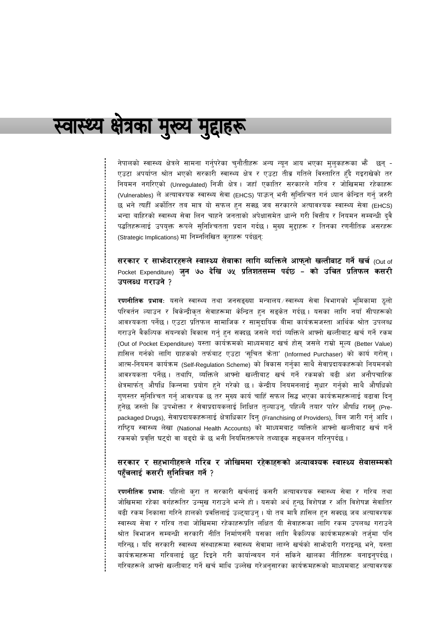# स्वास्थ्य क्षेत्रका मुख्य मुद्दाहरू

नेपालको स्वास्थ्य क्षेत्रले सामना गर्नुपरेका चुनौतीहरू अन्य न्यून आय भएका मुलुकहरूका भेँ छन् -एउटा अपर्याप्त श्रोत भएको सरकारी स्वास्थ्य क्षेत्र र एउटा तीव्र गतिले विस्तारित हुँदै गइराखेको तर नियमन नगरिएको (Unregulated) निजी क्षेत्र । जहाँ एकातिर सरकारले गरिब र जोखिममा रहेकाहरू (Vulnerables) ले अत्यावश्यक स्वास्थ्य सेवा (EHCS) पाऊन् भनी सुनिश्चित गर्न ध्यान केन्द्रित गर्नु जरुरी छ भने त्यहीँ अर्कोतिर तब मात्र यो सफल हुन सक्छ जब सरकारले अत्यावश्यक स्वास्थ्य सेवा (EHCS) भन्दा बाहिरको स्वास्थ्य सेवा लिन चाहने जनताको अपेक्षासमेत धान्ने गरी वित्तीय र नियमन सम्बन्धी दुवै पद्धतिहरूलाई उपयुक्त रूपले सुनिश्चितता प्रदान गर्दछ। मुख्य मुद्दाहरू र तिनका रणनीतिक असरहरू (Strategic Implications) मा निम्नलिखित कुराहरू पर्दछन्:

सरकार र साभोदारहरूले स्वास्थ्य सेवाका लागि व्यक्तिले आफ्**नो खल्तीबाट गर्ने खर्च <sub>(Out of</sub>** Pocket Expenditure) जुन ७० देखि ७५ प्रतिशतसम्म पर्दछ – को उचित प्रतिफल कसरी उपलब्ध गराउने ?

**रणनीतिक प्रभावः** यसले स्वास्थ्य तथा जनसङ्ख्या मन्त्रालय स्वास्थ्य सेवा विभागको भूमिकामा ठुलो परिवर्तन ल्याउन र विकेन्द्रीकृत सेवाहरूमा केन्द्रित हुन सङ्केत गर्दछ । यसका लागि नयाँ सीपहरूको आवश्यकता पर्नेछ । एउटा प्रतिफल सामाजिक र सामुदायिक बीमा कार्यक्रमजस्ता आर्थिक श्रोत उपलब्ध गराउने वैकल्पिक संयन्त्रको विकास गर्नु हुन सक्दछ जसले गर्दा व्यक्तिले आफ्नो खल्तीबाट खर्च गर्ने रकम (Out of Pocket Expenditure) यस्ता कार्यक्रमको माध्यमबाट खर्च होस् जसले राम्रो मूल्य (Better Value) हासिल गर्नको लागि ग्राहकको तर्फबाट एउटा 'सूचित क्रेता' (Informed Purchaser) को कार्य गरोस् । आत्म-नियमन कार्यक्रम (Self-Regulation Scheme) को विकास गर्नुका साथै सेवाप्रदायकहरूको नियमनको आवश्यकता पर्नेछ। तथापि, व्यक्तिले आफ्नो खल्तीबाट खर्च गर्ने रकमको बढी अंश अनौपचारिक क्षेत्रमार्फत् औषधि किन्नमा प्रयोग हुने गरेको छ । केन्द्रीय नियमनलाई सुधार गर्नुको साथै औषधिको गुणस्तर सुनिश्चित गर्नु आवश्यक छ तर मुख्य कार्य चाहिँ सफल सिद्ध भएका कार्यक्रमहरूलाई बढावा दिनु हुनेछ जस्तो कि उपभोक्ता र सेवाप्रदायकलाई शिक्षित तुल्याउनु, पहिल्यै तयार पारेर औषधि राख्नु (Prepackaged Drugs), सेवाप्रदायकहरूलाई क्षेत्राधिकार दिनु (Franchising of Providers), बिल जारी गर्नु आदि । राष्ट्रिय स्वास्थ्य लेखा (National Health Accounts) को माध्यमबाट व्यक्तिले आफ्नो खल्तीबाट खर्च गर्ने रकमको प्रवृत्ति घट्दो वा बढ्दो के छ भनी नियमितरूपले तथ्याइक सङ्कलन गरिन्पर्दछ ।

#### सरकार र सहभागीहरूले गरिब र जोखिममा रहेकाहरूको अत्यावश्यक स्वास्थ्य सेवासम्मको पहुँचलाई कसरी सुनिश्चित गर्ने ?

**रणनीतिक प्रभाव**ः पहिलो कुरा त सरकारी खर्चलाई कसरी अत्यावश्यक स्वास्थ्य सेवा र गरिब तथा जोखिममा रहेका वर्गहरूतिर उन्मुख गराउने भन्ने हो । यसको अर्थ हुन्छ विशेषज्ञ र अति विशेषज्ञ सेवातिर बढी रकम निकासा गरिने हालको प्रवत्तिलाई उल्ट्याउनु । यो तब मात्रै हासिल हुन सक्दछ जब अत्यावश्यक स्वास्थ्य सेवा र गरिब तथा जोखिममा रहेकाहरूप्रति लक्षित यी सेवाहरूका लागि रकम उपलब्ध गराउने श्रोत विभाजन सम्बन्धी सरकारी नीति निर्माणसँगै यसका लागि वैकल्पिक कार्यक्रमहरूको तर्जुमा पनि गरिन्छ। यदि सरकारी स्वास्थ्य संस्थाहरूमा स्वास्थ्य सेवामा लाग्ने खर्चको साभ्रेदारी गराइन्छ भने, यस्ता कार्यक्रमहरूमा गरिबलाई छट दिइने गरी कार्यान्वयन गर्न सकिने खालका नीतिहरू बनाइन्एर्दछ। गरिबहरूले आफ्नो खल्तीबाट गर्ने खर्च माथि उल्लेख गरेअनुसारका कार्यक्रमहरूको माध्यमबाट अत्यावश्यक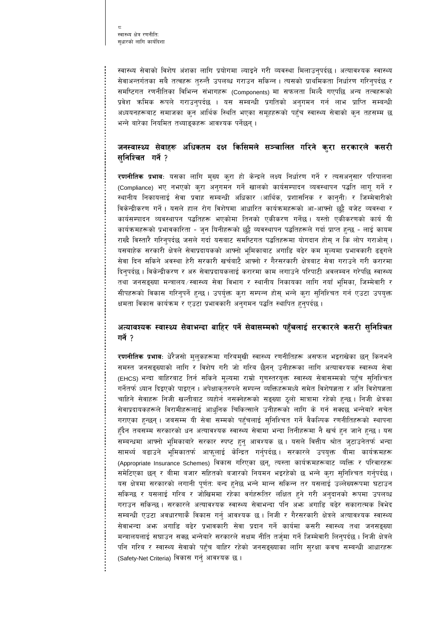स्वास्थ्य सेवाको विशेष अंशका लागि प्रयोगमा ल्याइने गरी व्यवस्था मिलाउनुपर्दछ । अत्यावश्यक स्वास्थ्य सेवाअन्तर्गतका सबै तत्वहरू तुरुन्तै उपलब्ध गराउन सकिन्न। त्यसको प्राथमिकता निर्धारण गरिनुपर्दछ र समष्टिगत रणनीतिका विभिन्न संभागहरू (Components) मा सफलता मिल्दै गएपछि अन्य तत्वहरूको प्रवेश क्रमिक रूपले गराउन्पर्दछ । यस सम्बन्धी प्रगतिको अनुगमन गर्न लाभ प्राप्ति सम्बन्धी अध्ययनहरूबाट समाजका कुन आर्थिक स्थिति भएका समूहहरूको पहुँच स्वास्थ्य सेवाको कुन तहसम्म छ भन्ने बारेका नियमित तथ्याङ्कहरू आवश्यक पर्नेछन् ।

#### जनस्वास्थ्य सेवाहरू अधिकतम दक्ष किसिमले सञ्चालित गरिने कुरा सरकारले कसरी सनिश्चित गर्ने ?

रणनीतिक प्रभावः यसका लागि मुख्य कुरा हो केन्द्रले लक्ष्य निर्धारण गर्ने र त्यसअनुसार परिपालना (Compliance) भए नभएको कुरा अनुगमन गर्ने खालको कार्यसम्पादन व्यवस्थापन पद्धति लागू गर्ने र स्थानीय निकायलाई सेवा प्रवाह सम्बन्धी अधिकार (आर्थिक, प्रशासनिक र कानुनी) र जिम्मेवारीको विकेन्द्रीकरण गर्ने । यसले हाल रोग विशेषमा आधारित कार्यक्रमहरूको आ-आफ्नो छुट्टै बजेट व्यवस्था र कार्यसम्पादन व्यवस्थापन पद्धतिहरू भएकोमा तिनको एकीकरण गर्नेछ। यस्तो एकीकरणको कार्य यी कार्यक्रमहरूको प्रभावकारिता - जुन यिनीहरूको छुट्टै व्यवस्थापन पद्धतिहरूले गर्दा प्राप्त हुन्छ - लाई कायम राख्दै विस्तारै गरिनुपर्दछ जसले गर्दा यसबाट समष्टिगत पद्धतिहरूमा योगदान होस् न कि लोप गराओस् । यसबाहेक सरकारी क्षेत्रले सेवाप्रदायकको आफ्नो भूमिकाबाट अगाडि बढेर कम मूल्यमा प्रभावकारी ढङ्गले सेवा दिन सकिने अवस्था हेरी सरकारी खर्चबाटै आफ्नो र गैरसरकारी क्षेत्रबाट सेवा गराउने गरी करारमा दिनुपर्दछ । विकेन्द्रीकरण र अरु सेवाप्रदायकलाई करारमा काम लगाउने परिपाटी अवलम्बन गरेपछि स्वास्थ्य तथा जनसङ्ख्या मन्त्रालय ⁄स्वास्थ्य सेवा विभाग र स्थानीय निकायका लागि नयाँ भूमिका, जिम्मेवारी र सीपहरूको विकास गरिनुपर्ने हुन्छ । उपर्युक्त कुरा सम्पन्न होस् भन्ने कुरा सुनिश्चित गर्न एउटा उपयुक्त क्षमता विकास कार्यक्रम र एउटा प्रभावकारी अनुगमन पद्धति स्थापित हुनुपर्दछ ।

#### अत्यावश्यक स्वास्थ्य सेवाभन्दा बाहिर पर्ने सेवासम्मको पहुँचलाई सरकारले कसरी सुनिश्चित गर्ने ?

**रणनीतिक प्रभाव**ः धेरैजसो म्**लुकहरूमा गरिबम्**खी स्वास्थ्य रणनीतिहरू असफल भइराखेका छन् किनभने समस्त जनसङ्ख्याको लागि र विशेष गरी जो गरिब छैनन् उनीहरूका लागि अत्यावश्यक स्वास्थ्य सेवा (EHCS) भन्दा बाहिरबाट तिर्न सकिने मूल्यमा राम्रो गुणस्तरयुक्त स्वास्थ्य सेवासम्मको पहुँच सुनिश्चित गर्नेतर्फ ध्यान दिइएको पाइएन । अपेक्षाकृतरुपले सम्पन्न व्यक्तिहरूमध्ये समेत विशेषज्ञता र अति विशेषज्ञता चाहिने सेवाहरू निजी खल्तीबाट व्यहोर्न नसक्नेहरूको सङ्ख्या ठूलो मात्रामा रहेको हुन्छ । निजी क्षेत्रका सेवाप्रदायकहरूले विरामीहरूलाई आधुनिक चिकित्साले उनीहरूको लागि के गर्न सक्दछ भन्नेबारे सचेत गराएका हुन्छन् । जबसम्म यी सेवा सम्मको पहुँचलाई सुनिश्चित गर्ने वैकल्पिक रणनीतिहरूको स्थापना हुँदैन तबसम्म सरकारको धन अत्यावश्यक स्वास्थ्य सेवामा भन्दा तिनीहरूमा नै खर्च हुन जाने हुन्छ । यस सम्बन्धमा आफ्नो भूमिकाबारे सरकार स्पष्ट हुनु आवश्यक छ । यसले वित्तीय श्रोत जुटाउनेतर्फ भन्दा सामर्थ्य बढाउने भूमिकातर्फ आफूलाई केन्द्रित गर्नुपर्दछ। सरकारले उपयुक्त बीमा कार्यक्रमहरू (Appropriate Insurance Schemes) विकास गरिएका छन्, त्यस्ता कार्यक्रमहरूबाट व्यक्ति र परिवारहरू समेटिएका छन् र बीमा बजार सहितको बजारको नियमन भइरहेको छ भन्ने कुरा सुनिश्चित गर्नुपर्दछ । यस क्षेत्रमा सरकारको लगानी पूर्णत: बन्द हुनेछ भन्ने मान्न सकिन्न तर यसलाई उल्लेख्यरूपमा घटाउन सकिन्छ र यसलाई गरिब र जोखिममा रहेका वर्गहरूतिर लक्षित हुने गरी अनुदानको रूपमा उपलब्ध गराउन सकिन्छ। सरकारले अत्यावश्यक स्वास्थ्य सेवाभन्दा पनि अफ्न अगाडि बढेर सकारात्मक विभेद सम्बन्धी एउटा अवधारणाकै विकास गर्नु आवश्यक छ । निजी र गैरसरकारी क्षेत्रले अत्यावश्यक स्वास्थ्य सेवाभन्दा अफ्न अगाडि बढेर प्रभावकारी सेवा प्रदान गर्ने कार्यमा कसरी स्वास्थ्य तथा जनसङ्ख्या मन्त्रालयलाई सघाउन सक्छ भन्नेबारे सरकारले सक्षम नीति तर्ज्मा गर्ने जिम्मेवारी लिन्पर्दछ । निजी क्षेत्रले पनि गरिब र स्वास्थ्य सेवाको पहुँच बाहिर रहेको जनसङ्ख्याका लागि सुरक्षा कवच सम्बन्धी आधारहरू (Safety-Net Criteria) विकास गर्नु आवश्यक छ ।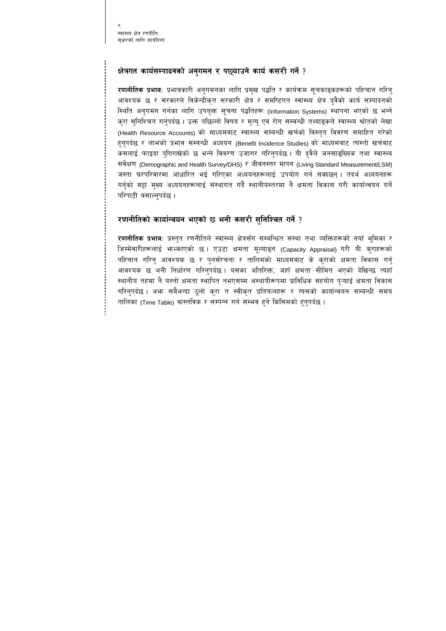#### क्षेत्रगत कार्यसम्पादनको अनुगमन र पछ्याउने कार्य कसरी गर्ने ?

<mark>रणनीतिक प्रभाव</mark>ः प्रभावकारी अनुगमनका लागि प्रमुख पद्धति र कार्यक्रम सूचकाङ्कहरूको पहिचान गरिनु आवश्यक छ र सरकारले विकेन्द्रीकृत सरकारी क्षेत्र र समष्टिगत स्वास्थ्य क्षेत्र दुवैको कार्य सम्पादनको स्थिति अनुगमन गर्नका लागि उपयुक्त सूचना पद्धतिहरू (Information Systems) स्थापना भएको छ भन्ने कुरा सुनिश्चित गर्नुपर्दछ । उक्त पछिल्लो विषय र मृत्यु एवं रोग सम्बन्धी तथ्याइकले स्वास्थ्य श्रोतको लेखा (Health Resource Accounts) को माध्यमबाट स्वास्थ्य सम्बन्धी खर्चको विस्तृत विवरण समाहित गरेको हुनुपर्दछ र लाभको प्रभाव सम्बन्धी अध्ययन (Benefit Incidence Studies) को माध्यमबाट त्यस्तो खर्चबाट कसलाई फाइदा पुगिराखेको छ भन्ने विवरण उजागर गरिनुपर्दछ । यी दुवैले जनसाङ्ख्यिक तथा स्वास्थ्य सर्वेक्षण (Demographic and Health Survey/DHS) र जीवनस्तर मापन (Living Standard Measurement/LSM) जस्ता घरपरिवारमा आधारित भई गरिएका अध्ययनहरूलाई उपयोग गर्न सक्दछन् । तदर्थ अध्ययनहरू गर्नुको सट्टा मुख्य अध्ययनहरूलाई संस्थागत गर्दै स्थानीयस्तरमा नै क्षमता विकास गरी कार्यान्वयन गर्ने परिपाटी बसाल्नपर्दछ ।

#### रणनीतिको कार्यान्वयन भएको छ भनी कसरी सुनिश्चित गर्ने ?

**रणनीतिक प्रभावः** प्रस्तुत रणनीतिले स्वास्थ्य क्षेत्रसँग सम्बन्धित संस्था तथा व्यक्तिहरूको नयाँ भूमिका र जिम्मेवारीहरूलाई भाल्काएको छ। एउटा क्षमता मूल्याइन (Capacity Appraisal) गरी यी कुराहरूको पहिचान गरिन् आवश्यक छ र पुनर्संरचना र तालिमको माध्यमबाट के कुराको क्षमता विकास गर्न् आवश्यक छ भनी निर्धारण गरिनुपर्दछ । यसका अतिरिक्त, जहाँ क्षमता सीमित भएको देखिन्छ त्यहाँ स्थानीय तहमा नै यस्तो क्षमता स्थापित नभएसम्म अस्थायीरूपमा प्राविधिक सहयोग प्ऱ्याई क्षमता विकास गरिनुपर्दछ । अफ्ग सबैभन्दा ठुलो करा त स्वीकृत प्रतिफलहरू र त्यसको कार्यान्वयन सम्बन्धी समय तालिका (Time Table) वास्तविक र सम्पन्न गर्न सम्भव हुने किसिमको हुनुपर्दछ ।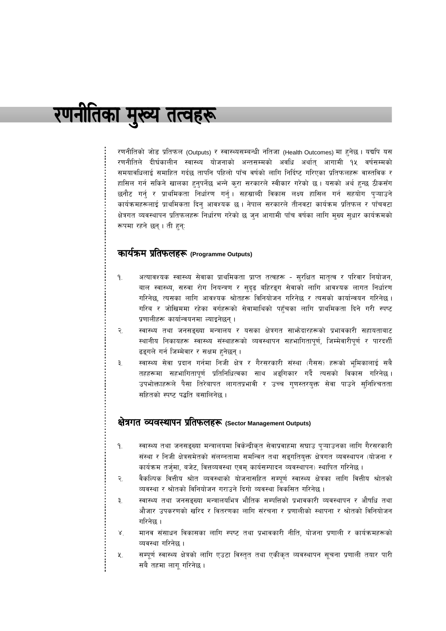# रणनीतिका मुख्य तत्वहरू

रणनीतिको जोड प्रतिफल (Outputs) र स्वास्थ्यसम्बन्धी नतिजा (Health Outcomes) मा हनेछ। यद्यपि यस रणनीतिले दीर्घकालीन स्वास्थ्य योजनाको अन्तसम्मको अवधि अर्थात् आगामी १५ वर्षसम्मको समयावधिलाई समाहित गर्दछ तापनि पहिलो पाँच वर्षको लागि निर्दिष्ट गरिएका प्रतिफलहरू वास्तविक र हासिल गर्न सकिने खालका हुनुपर्नेछ भन्ने कुरा सरकारले स्वीकार गरेको छ। यसको अर्थ हुन्छ ठीकसँग छनौट गर्न् र प्राथमिकता निर्धारण गर्न्। सहस्राब्दी विकास लक्ष्य हासिल गर्न सहयोग प्ऱ्याउने कार्यक्रमहरूलाई प्राथमिकता दिनु आवश्यक छ । नेपाल सरकारले तीनवटा कार्यक्रम प्रतिफल र पाँचवटा क्षेत्रगत व्यवस्थापन प्रतिफलहरू निर्धारण गरेको छ जुन आगामी पाँच वर्षका लागि मुख्य सुधार कार्यक्रमको रूपमा रहने छन् । ती हुन्:

#### कार्यक्रम प्रतिफलहरू (Programme Outputs)

- अत्यावश्यक स्वास्थ्य सेवाका प्राथमिकता प्राप्त तत्वहरू सुरक्षित मातृत्व र परिवार नियोजन,  $9.$ बाल स्वास्थ्य, सरुवा रोग नियन्त्रण र सुदृढ बहिरङ्ग सेवाको लागि आवश्यक लागत निर्धारण गरिनेछ, त्यसका लागि आवश्यक श्रोतहरू विनियोजन गरिनेछ र त्यसको कार्यान्वयन गरिनेछ । गरिब र जोखिममा रहेका वर्गहरूको सेवामाथिको पहँचका लागि प्राथमिकता दिने गरी स्पष्ट प्रणालीहरू कार्यान्वयनमा ल्याइनेछन् ।
- स्वास्थ्य तथा जनसङ्ख्या मन्त्रालय र यसका क्षेत्रगत साभोदारहरूको प्रभावकारी सहायताबाट २. स्थानीय निकायहरू स्वास्थ्य संस्थाहरूको व्यवस्थापन सहभागितापूर्ण, जिम्मेवारीपूर्ण र पारदर्शी ढइगले गर्न जिम्मेवार र सक्षम हनेछन् ।
- स्वास्थ्य सेवा प्रदान गर्नमा निजी क्षेत्र र गैरसरकारी संस्था (गैसस) हरूको भूमिकालाई सबै ३. तहहरूमा सहभागितापूर्ण प्रतिनिधित्वका साथ अङ्गिकार गर्दै त्यसको विकास गरिनेछ। उपभोक्ताहरूले पैसा तिरेबापत लागतप्रभावी र उच्च गुणस्तरयुक्त सेवा पाउने सुनिश्चितता सहितको स्पष्ट पद्धति बसालिनेछ ।

## क्षेत्रगत व्यवस्थापन प्रतिफलहरू (Sector Management Outputs)

- स्वास्थ्य तथा जनसङ्ख्या मन्त्रालयमा विकेन्द्रीकृत सेवाप्रवाहमा सघाउ पुऱ्याउनका लागि गैरसरकारी  $9.$ संस्था र निजी क्षेत्रसमेतको संलग्नतामा समन्वित तथा सङ्गतियुक्त क्षेत्रगत व्यवस्थापन (योजना र कार्यक्रम तर्जुमा, बजेट, वित्तव्यवस्था एवम् कार्यसम्पादन व्यवस्थापन) स्थापित गरिनेछ ।
- वैकल्पिक वित्तीय श्रोत व्यवस्थाको योजनासहित सम्पूर्ण स्वास्थ्य क्षेत्रका लागि वित्तीय श्रोतको  $\tilde{\mathcal{R}}$ व्यवस्था र श्रोतको विनियोजन गराउने दिगो व्यवस्था विकसित गरिनेछ ।
- स्वास्थ्य तथा जनसङ्ख्या मन्त्रालयभित्र भौतिक सम्पत्तिको प्रभावकारी व्यवस्थापन र औषधि तथा ₹. औजार उपकरणको खरिद र वितरणका लागि संरचना र प्रणालीको स्थापना र श्रोतको विनियोजन गरिनेछ ।
- मानव संसाधन विकासका लागि स्पष्ट तथा प्रभावकारी नीति, योजना प्रणाली र कार्यक्रमहरूको  $X$ व्यवस्था गरिनेछ ।
- सम्पूर्ण स्वास्थ्य क्षेत्रको लागि एउटा विस्तृत तथा एकीकृत व्यवस्थापन सूचना प्रणाली तयार पारी 义. सबै तहमा लागू गरिनेछ ।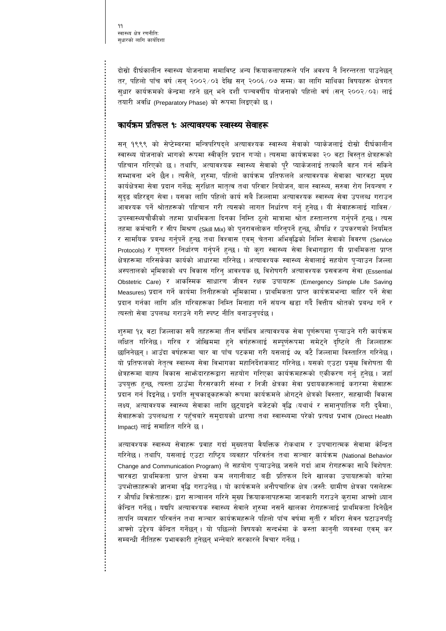۹۹ स्वास्थ्य क्षेत्र रणनीतिः सधारको लागि कार्यदिशा

दोस्रो दीर्घकालीन स्वास्थ्य योजनामा समाविष्ट अन्य क्रियाकलापहरूले पनि अवश्य नै निरन्तरता पाउनेछन् तर, पहिलो पाँच वर्ष (सन् २००२/०३ देखि सन् २००६/०७ सम्म) का लागि माथिका विषयहरू क्षेत्रगत सुधार कार्यक्रमको केन्द्रमा रहने छन् भने दशौँ पञ्चवर्षीय योजनाको पहिलो वर्ष (सन् २००२⁄०३) लाई तयारी अवधि (Preparatory Phase) को रूपमा लिइएको छ।

#### कार्यक्रम प्रतिफल १ः अत्यावश्यक स्वास्थ्य सेवाहरू

सन् १९९९ को सेप्टेम्बरमा मन्त्रिपरिषदले अत्यावश्यक स्वास्थ्य सेवाको प्याकेजलाई दोस्रो दीर्घकालीन स्वास्थ्य योजनाको भागको रूपमा स्वीकृति प्रदान गऱ्यो । त्यसमा कार्यक्रमका २० वटा विस्तृत क्षेत्रहरूको पहिचान गरिएको छ । तथापि, अत्यावश्यक स्वास्थ्य सेवाको पूरै प्याकेजलाई तत्कालै वहन गर्न सकिने सम्भावना भने छैन । त्यसैले, शुरुमा, पहिलो कार्यक्रम प्रतिफलले अत्यावश्यक सेवाका चारवटा मुख्य कार्यक्षेत्रमा सेवा प्रदान गर्नेछः सुरक्षित मातृत्व तथा परिवार नियोजन, बाल स्वास्थ्य, सरुवा रोग नियन्त्रण र सुदृढ बहिरङ्ग सेवा । यसका लागि पहिलो कार्य सबै जिल्लामा अत्यावश्यक स्वास्थ्य सेवा उपलब्ध गराउन आवश्यक पर्ने श्रोतहरूको पहिचान गरी त्यसको लागत निर्धारण गर्नु हुनेछ । यी सेवाहरूलाई गाविस ⁄ उपस्वास्थ्यचौकीको तहमा प्राथमिकता दिनका निम्ति ठूलो मात्रामा श्रोत हस्तान्तरण गर्नुपर्ने हुन्छ। त्यस तहमा कर्मचारी र सीप मिश्रण (Skill Mix) को पुनरावलोकन गरिनुपर्ने हुन्छ, औषधि र उपकरणको नियमित र सामयिक प्रबन्ध गर्नुपर्ने हुन्छ तथा विश्वास एवम् चेतना अभिवृद्धिको निम्ति सेवाको विवरण (Service Protocols) र गुणस्तर निर्धारण गर्नुपर्ने हुन्छ । यो कुरा स्वास्थ्य सेवा विभागद्वारा यी प्राथमिकता प्राप्त क्षेत्रहरूमा गरिसकेका कार्यको आधारमा गरिनेछ । अत्यावश्यक स्वास्थ्य सेवालाई सहयोग प्ऱ्याउन जिल्ला अस्पतालको भूमिकाको थप विकास गरिनु आवश्यक छ, विशेषगरी अत्यावश्यक प्रसवजन्य सेवा (Essential Obstetric Care) र आकस्मिक साधारण जीवन रक्षक उपायहरू (Emergency Simple Life Saving Measures) प्रदान गर्ने कार्यमा तिनीहरूको भुमिकामा । प्राथमिकता प्राप्त कार्यक्रमभन्दा बाहिर पर्ने सेवा प्रदान गर्नका लागि अति गरिबहरूका निम्ति मिनाहा गर्ने संयन्त्र खडा गर्दै वित्तीय श्रोतको प्रबन्ध गर्ने र त्यस्तो सेवा उपलब्ध गराउने गरी स्पष्ट नीति बनाउनुपर्दछ।

शुरुमा १५ वटा जिल्लाका सबै तहहरूमा तीन वर्षभित्र अत्यावश्यक सेवा पूर्णरूपमा पुऱ्याउने गरी कार्यक्रम लक्षित गरिनेछ । गरिब र जोखिममा हुने वर्गहरूलाई सम्पुर्णरूपमा समेटुने दृष्टिले ती जिल्लाहरू छानिनेछन् । आउँदा वर्षहरूमा चार वा पाँच पटकमा गरी यसलाई ७५ वटै जिल्लामा विस्तारित गरिनेछ । यो प्रतिफलको नेतृत्व स्वास्थ्य सेवा विभागका महानिर्देशकबाट गरिनेछ । यसको एउटा प्रमुख विशेषता यी क्षेत्रहरूमा बाह्य विकास साभ्रेदारहरूद्वारा सहयोग गरिएका कार्यक्रमहरूको एकीकरण गर्नु हुनेछ । जहाँ उपयुक्त हुन्छ, त्यस्ता ठाउँमा गैरसरकारी संस्था र निजी क्षेत्रका सेवा प्रदायकहरूलाई करारमा सेवाहरू प्रदान गर्न दिइनेछ । प्रगति सूचकाङ्कहरूको रूपमा कार्यक्रमले ओगट्ने क्षेत्रको विस्तार, सहस्राब्दी विकास लक्ष्य, अत्यावश्यक स्वास्थ्य सेवाका लागि छुट्याइने बजेटको वृद्धि (यथार्थ र समानुपातिक गरी दुवैमा), सेवाहरूको उपलब्धता र पहुँचबारे समुदायको धारणा तथा स्वास्थ्यमा परेको प्रत्यक्ष प्रभाव (Direct Health Impact) लाई समाहित गरिने छ।

अत्यावश्यक स्वास्थ्य सेवाहरू प्रवाह गर्दा मुख्यतया वैयक्तिक रोकथाम र उपचारात्मक सेवामा केन्द्रित गरिनेछ । तथापि, यसलाई एउटा राष्टिय व्यवहार परिवर्तन तथा सञ्चार कार्यक्रम (National Behavior Change and Communication Program) ले सहयोग पुऱ्याउनेछ जसले गर्दा आम रोगहरूका साथै विशेषत: चारवटा प्राथमिकता प्राप्त क्षेत्रमा कम लगानीबाट बढी प्रतिफल दिने खालका उपायहरूको बारेमा उपभोक्ताहरूको ज्ञानमा वृद्धि गराउनेछ । यो कार्यक्रमले अनौपचारिक क्षेत्र (जस्तै: ग्रामीण क्षेत्रका पसलेहरू र औषधि विक्रेताहरू) द्वारा सञ्चालन गरिने मुख्य क्रियाकलापहरूमा जानकारी गराउने क्रामा आफ्नो ध्यान केन्द्रित गर्नेछ । यद्यपि अत्यावश्यक स्वास्थ्य सेवाले शुरुमा नसर्ने खालका रोगहरूलाई प्राथमिकता दिनेछैन तापनि व्यवहार परिवर्तन तथा सञ्चार कार्यक्रमहरूले पहिलो पाँच वर्षमा सुर्ती र मदिरा सेवन घटाउनपट्टि आफ्नो उद्देश्य केन्द्रित गर्नेछन् । यो पछिल्लो विषयको सन्दर्भमा के कस्ता कानुनी व्यवस्था एवम् कर सम्बन्धी नीतिहरू प्रभावकारी हुनेछन् भन्नेबारे सरकारले विचार गर्नेछ।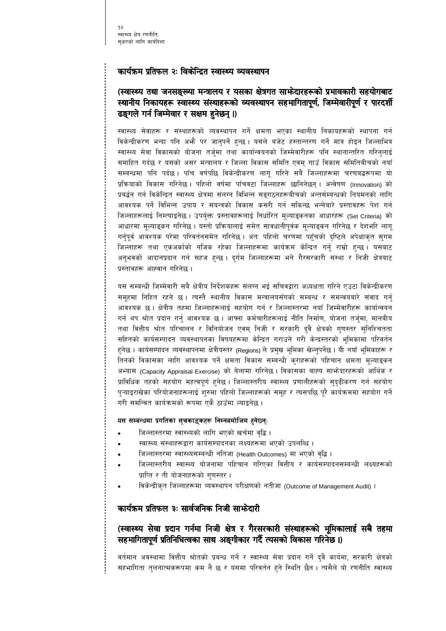#### कार्यक्रम प्रतिफल २ः विकेन्द्रित स्वास्थ्य व्यवस्थापन

## (स्वास्थ्य तथा जनसङ्ख्या मन्त्रालय र यसका क्षेत्रगत साफेदारहरूको प्रभावकारी सहयोगबाट स्थानीय निकायहरू स्वास्थ्य संस्थाहरूको व्यवस्थापन सहभागितापूर्ण, जिम्मेवारीपूर्ण र पारदर्शी ढङ्गले गर्न जिम्मेवार र सक्षम हुनेछन् ।)

स्वास्थ्य सेवाहरू र संस्थाहरूको व्यवस्थापन गर्ने क्षमता भएका स्थानीय निकायहरूको स्थापना गर्न विकेन्द्रीकरण भन्दा पनि अफ्नै पर जानुपर्ने हुन्छ । यसले बजेट हस्तान्तरण गर्ने मात्र होइन जिल्लाभित्र स्वास्थ्य सेवा विकासको योजना तर्ज्मा तथा कार्यान्वयनको जिम्मेवारीहरू पनि स्थानान्तरित गरिन्लाई समाहित गर्दछ र यसको असर मन्त्रालय र जिल्ला विकास समिति एवम् गाउँ विकास समितिबीचको नयाँ सम्बन्धमा पनि पर्दछ । पाँच वर्षपछि विकेन्द्रीकरण लागू गरिने सबै जिल्लाहरूमा चरणबद्धरूपमा यो प्रक्रियाको विकास गरिनेछ। पहिलो वर्षमा पाँचवटा जिल्लाहरू छानिनेछन्। अन्वेषण (Innovation) को प्रबर्द्धन गर्न विकेन्द्रित स्वास्थ्य क्षेत्रमा संलग्न विभिन्न सङ्गठनहरूबीचको अन्तर्सम्बन्धको नियमनको लागि आवश्यक पर्ने विभिन्न उपाय र संयन्त्रको विकास कसरी गर्न सकिन्छ भन्नेबारे प्रस्तावहरू पेश गर्न जिल्लाहरूलाई निम्त्याइनेछ । उपर्युक्त प्रस्तावहरूलाई निर्धारित मूल्याङ्कनका आधारहरू (Set Criteria) को आधारमा मूल्याङ्कन गरिनेछ । यस्तो प्रक्रियालाई समेत सावधानीपूर्वक मूल्याङ्कन गरिनेछ र देशभरि लागू गर्नुपूर्व आवश्यक परेमा परिवर्तनसमेत गरिनेछ । अतः पहिलो चरणमा पहुँचको दृष्टिले अपेक्षाकृत सुगम जिल्लाहरू तथा एकअर्काको नजिक रहेका जिल्लाहरूमा कार्यक्रम केन्द्रित गर्नु राम्रो हुन्छ। यसबाट अनुभवको आदानप्रदान गर्न सहज हुन्छ । दुर्गम जिल्लाहरूमा भने गैरसरकारी संस्था र निजी क्षेत्रबाट प्रस्तावहरू आह्वान गरिनेछ ।

यस सम्बन्धी जिम्मेवारी सबै क्षेत्रीय निर्देशकहरू संलग्न भई सचिवद्वारा अध्यक्षता गरिने एउटा विकेन्द्रीकरण समूहमा निहित रहने छ । त्यस्तै स्थानीय विकास मन्त्रालयसँगको सम्बन्ध र समन्वयबारे संवाद गर्नु आवश्यक छ । क्षेत्रीय तहमा जिल्लाहरूलाई सहयोग गर्न र जिल्लास्तरमा नयाँ जिम्मेवारीहरू कार्यान्वयन गर्न थप श्रोत प्रदान गर्नु आवश्यक छ । आफ्ना कर्मचारीहरूलाई नीति निर्माण, योजना तर्जुमा, मानवीय तथा वित्तीय श्रोत परिचालन र विनियोजन एवम् निजी र सरकारी दुवै क्षेत्रको गुणस्तर सुनिश्चितता सहितको कार्यसम्पादन व्यवस्थापनका विषयहरूमा केन्द्रित गराउने गरी केन्द्रस्तरको भूमिकामा परिवर्तन हनेछ । कार्यसम्पादन व्यवस्थापनमा क्षेत्रीयस्तर (Regions) ले प्रमुख भूमिका खेल्नुपर्नेछ । यी नयाँ भूमिकाहरू र तिनको विकासका लागि आवश्यक पर्ने क्षमता विकास सम्बन्धी कुराहरूको पहिचान क्षमता मूल्याङ्कन अभ्यास (Capacity Appraisal Exercise) को बेलामा गरिनेछ। विकासका बाह्य साभोदारहरूको आर्थिक र प्राविधिक तहको सहयोग महत्वपूर्ण हुनेछ । जिल्लास्तरीय स्वास्थ्य प्रणालीहरूको सुदुढीकरण गर्न सहयोग पुऱ्याइराखेका परियोजनाहरूलाई शुरुमा पहिलो जिल्लाहरूको समूह र त्यसपछि पूरै कार्यक्रममा सहयोग गर्ने गरी समन्वित कार्यक्रमको रूपमा एकै ठाउँमा ल्याइनेछ ।

#### यस सम्बन्धमा प्रगतिका सूचकाड्कहरू निम्नबमोजिम हुनेछ्न्ः

- जिल्लास्तरमा स्वास्थ्यको लागि भएको खर्चमा वृद्धि ।
- स्वास्थ्य संस्थाहरूद्वारा कार्यसम्पादनका लक्ष्यहरूमा भएको उपलब्धि ।
- जिल्लास्तरमा स्वास्थ्यसम्बन्धी नतिजा (Health Outcomes) मा भएको वृद्धि ।
- जिल्लास्तरीय स्वास्थ्य योजनामा पहिचान गरिएका वित्तीय र कार्यसम्पादनसम्बन्धी लक्ष्यहरूको प्राप्ति र ती योजनाहरूको गुणस्तर।
- विकेन्द्रीकृत जिल्लाहरूमा व्यवस्थापन परीक्षणको नतीजा (Outcome of Management Audit) ।

#### कार्यक्रम प्रतिफल ३ः सार्वजनिक निजी साफेदारी

## (स्वास्थ्य सेवा प्रदान गर्नमा निजी क्षेत्र र गैरसरकारी संस्थाहरूको भूमिकालाई सबै तहमा सहभागितापूर्ण प्रतिनिधित्वका साथ अङ्गीकार गर्दै त्यसको विकास गरिनेछ ।)

वर्तमान अवस्थामा वित्तीय श्रोतको प्रबन्ध गर्ने र स्वास्थ्य सेवा प्रदान गर्ने दुवै कार्यमा, सरकारी क्षेत्रको सहभागिता तुलनात्मकरूपमा कम नै छ र यसमा परिवर्तन हुने स्थिति छैन । त्यसैले यो रणनीति स्वास्थ्य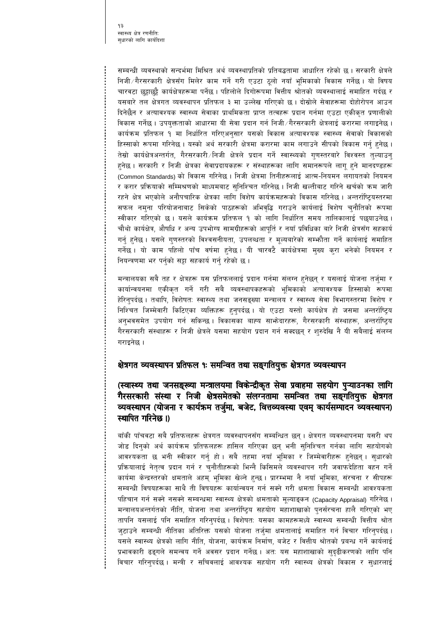सम्बन्धी व्यवस्थाको सन्दर्भमा मिश्रित अर्थ व्यवस्थाप्रतिको प्रतिबद्धतामा आधारित रहेको छ। सरकारी क्षेत्रले निजी ∕ गैरसरकारी क्षेत्रसँग मिलेर काम गर्ने गरी एउटा ठूलो नयाँ भूमिकाको विकास गर्नेछ । यो विषय चारवटा छुट्टाछुट्टै कार्यक्षेत्रहरूमा पर्नेछ । पहिलोले दिगोरूपमा वित्तीय श्रोतको व्यवस्थालाई समाहित गर्दछ र यसबारे तल क्षेत्रगत व्यवस्थापन प्रतिफल ३ मा उल्लेख गरिएको छ । दोस्रोले सेवाहरूमा दोहोरोपन आउन दिनेछैन र अत्यावश्यक स्वास्थ्य सेवाका प्राथमिकता प्राप्त तत्वहरू प्रदान गर्नमा एउटा एकीकृत प्रणालीको विकास गर्नेछ । उपयुक्तताको आधारमा यी सेवा प्रदान गर्न निजी ∕गैरसरकारी क्षेत्रलाई करारमा लगाइनेछ । कार्यक्रम प्रतिफल १ मा निर्धारित गरिएअनुसार यसको विकास अत्यावश्यक स्वास्थ्य सेवाको विकासको हिस्साको रूपमा गरिनेछ । यस्को अर्थ सरकारी क्षेत्रमा करारमा काम लगाउने सीपको विकास गर्नु हुनेछ । तेस्रो कार्यक्षेत्रअन्तर्गत, गैरसरकारी ∕निजी क्षेत्रले प्रदान गर्ने स्वास्थ्यको गुणस्तरबारे विश्वस्त तुल्याउनु हुनेछ । सरकारी र निजी क्षेत्रका सेवाप्रदायकहरू र संस्थाहरूका लागि समानरूपले लागू हुने मानदण्डहरू (Common Standards) को विकास गरिनेछ। निजी क्षेत्रमा तिनीहरूलाई आत्म-नियमन लगायतको नियमन र करार प्रक्रियाको सम्मिश्रणको माध्यमबाट सुनिश्चित गरिनेछ । निजी खल्तीबाट गरिने खर्चको कम जारी रहने क्षेत्र भएकोले अनौपचारिक क्षेत्रका लागि विशेष कार्यक्रमहरूको विकास गरिनेछ । अन्तर्राष्ट्रियस्तरमा सफल नमुना परियोजनाबाट सिकेको पाठहरूको अभिवृद्धि गराउने कार्यलाई विशेष चुनौतिको रूपमा स्वीकार गरिएको छ। यसले कार्यक्रम प्रतिफल १ को लागि निर्धारित समय तालिकालाई पछ्याउनेछ। चौथो कार्यक्षेत्र, औषधि र अन्य उपभोग्य सामग्रीहरूको आपूर्ति र नयाँ प्रविधिका बारे निजी क्षेत्रसँग सहकार्य गर्नु हुनेछ । यसले गुणस्तरको विश्वसनीयता, उपलब्धता र मूल्यबारेको सम्फौता गर्ने कार्यलाई समाहित गर्नेछ । यो काम पहिलो पाँच वर्षमा हुनेछ । यी चारवटै कार्यक्षेत्रमा मुख्य कुरा भनेको नियमन र नियन्त्रणमा भर पर्नुको सट्टा सहकार्य गर्नु रहेको छ ।

मन्त्रालयका सबै तह र क्षेत्रहरू यस प्रतिफललाई प्रदान गर्नमा संलग्न हुनेछन् र यसलाई योजना तर्जुमा र कार्यान्वयनमा एकीकृत गर्ने गरी सबै व्यवस्थापकहरूको भूमिकाको अत्यावश्यक हिस्साको रूपमा हेरिनुपर्दछ । तथापि, विशेषतः स्वास्थ्य तथा जनसङ्ख्या मन्त्रालय र स्वास्थ्य सेवा विभागस्तरमा विशेष र निश्चित जिम्मेवारी किटिएका व्यक्तिहरू हुनुपर्दछ । यो एउटा यस्तो कार्यक्षेत्र हो जसमा अन्तर्राष्ट्रिय अनुभवसमेत उपयोग गर्न सकिन्छ । विकासका बाह्य साभ्रेदारहरू, गैरसरकारी संस्थाहरू, अन्तर्राष्ट्रिय गैरसरकारी संस्थाहरू र निजी क्षेत्रले यसमा सहयोग प्रदान गर्न सक्दछन् र शुरुदेखि नै यी सबैलाई संलग्न गराइनेछ ।

## क्षेत्रगत व्यवस्थापन प्रतिफल १ः समन्वित तथा सङ्गतियुक्त क्षेत्रगत व्यवस्थापन

(स्वास्थ्य तथा जनसङ्ख्या मन्त्रालयमा विकेन्द्रीकृत सेवा प्रवाहमा सहयोग पुऱ्याउनका लागि गैरसरकारी संस्था र निजी क्षेत्रसमेतको संलग्नतामा समन्वित तथा सङ्गतियुक्त क्षेत्रगत व्यवस्थापन (योजना र कार्यक्रम तर्जुमा, बजेट, वित्तव्यवस्था एवम् कार्यसम्पादन व्यवस्थापन) स्थापित गरिनेछ ।)

बाँकी पाँचवटा सबै प्रतिफलहरू क्षेत्रगत व्यवस्थापनसँग सम्बन्धित छन् । क्षेत्रगत व्यवस्थापनमा यसरी थप जोड दिनुको अर्थ कार्यक्रम प्रतिफलहरू हासिल गरिएका छन् भनी सुनिश्चित गर्नका लागि सहयोगको आवश्यकता छ भनी स्वीकार गर्नु हो । सबै तहमा नयाँ भूमिका र जिम्मेवारीहरू हुनेछन् । सुधारको प्रक्रियालाई नेतृत्व प्रदान गर्न र चुनौतीहरूको भिन्नै किसिमले व्यवस्थापन गरी जवाफदेहिता वहन गर्ने कार्यमा केन्द्रस्तरको क्षमताले अहम् भूमिका खेल्ने हुन्छ। प्रारम्भमा नै नयाँ भूमिका, संरचना र सीपहरू सम्बन्धी विषयहरूका साथै ती विषयहरू कार्यान्वयन गर्न सक्ने गरी क्षमता विकास सम्बन्धी आवश्यकता पहिचान गर्न सक्ने नसक्ने सम्बन्धमा स्वास्थ्य क्षेत्रको क्षमताको मूल्याङ्कन (Capacity Appraisal) गरिनेछ । मन्त्रालयअन्तर्गतको नीति, योजना तथा अन्तर्राष्ट्रिय सहयोग महाशाखाको पुनर्संरचना हालै गरिएको भए तापनि यसलाई पनि समाहित गरिन्पर्दछ । विशेषतः यसका कामहरूमध्ये स्वास्थ्य सम्बन्धी वित्तीय श्रोत जुटाउने सम्बन्धी नीतिका अतिरिक्त यसको योजना तर्जुमा क्षमतालाई समाहित गर्न विचार गरिनुपर्दछ । यसले स्वास्थ्य क्षेत्रको लागि नीति, योजना, कार्यक्रम निर्माण, बजेट र वित्तीय श्रोतको प्रबन्ध गर्ने कार्यलाई प्रभावकारी ढङ्गले समन्वय गर्ने अवसर प्रदान गर्नेछ । अतः यस महाशाखाको सुदृढीकरणको लागि पनि विचार गरिनुपर्दछ । मन्त्री र सचिवलाई आवश्यक सहयोग गरी स्वास्थ्य क्षेत्रको विकास र सुधारलाई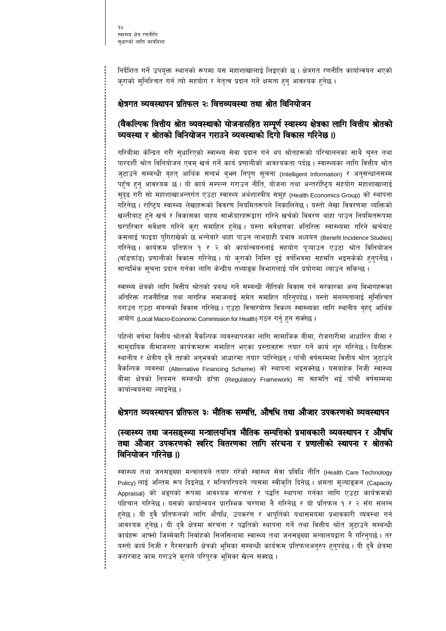निर्देशित गर्ने उपयुक्त स्थानको रूपमा यस महाशाखालाई लिइएको छ । क्षेत्रगत रणनीति कार्यान्वयन भएको कुराको सुनिश्चित गर्न त्यो सहयोग र नेतृत्व प्रदान गर्ने क्षमता हुनु आवश्यक हुनेछ ।

#### क्षेत्रगत व्यवस्थापन प्रतिफल २ः वित्तव्यवस्था तथा श्रोत विनियोजन

### (वैकल्पिक वित्तीय श्रोत व्यवस्थाको योजनासहित सम्पूर्ण स्वास्थ्य क्षेत्रका लागि वित्तीय श्रोतको व्यवस्था र श्रोतको विनियोजन गराउने व्यवस्थाको दिगो विकास गरिनेछ ।)

गरिबीमा केन्द्रित गरी सुधारिएको स्वास्थ्य सेवा प्रदान गर्न थप श्रोतहरूको परिचालनका साथै चुस्त तथा पारदर्शी श्रोत विनियोजन एवम् खर्च गर्ने कार्य प्रणालीको आवश्यकता पर्दछ । स्वास्थ्यका लागि वित्तीय श्रोत जुटाउने सम्बन्धी बृहत् आर्थिक सन्दर्भ बुभन निपुण सूचना (Intelligent Information) र अनुसन्धानसम्म पहुँच हुनु आवश्यक छ । यो कार्य सम्पन्न गराउन नीति, योजना तथा अन्तर्राष्ट्रिय सहयोग महाशाखालाई सुदृढ गरी सो महाशाखाअन्तर्गत एउटा स्वास्थ्य अर्थशास्त्रीय समूह (Health Economics Group) को स्थापना गरिनेछ । राष्ट्रिय स्वास्थ्य लेखाहरूको विवरण नियमितरूपले निकालिनेछ । यस्तो लेखा विवरणमा व्यक्तिको खल्तीबाट हुने खर्च र विकासका बाह्य साभ्रेदारहरूद्वारा गरिने खर्चको विवरण थाहा पाउन नियमितरूपमा घरपरिवार सर्वेक्षण गरिने कुरा समाहित हुनेछ । यस्ता सर्वेक्षणका अतिरिक्त स्वास्थ्यमा गरिने खर्चबाट कसलाई फाइदा पुगिराखेको छ भन्नेबारे थाहा पाउन लाभग्राही प्रभाव अध्ययन (Benefit Incidence Studies) गरिनेछ । कार्यक्रम प्रतिफल १ र २ को कार्यान्वयनलाई सहयोग पुऱ्याउन एउटा श्रोत विनियोजन (बाँडफाँड) प्रणालीको विकास गरिनेछ । यो कराको निम्ति दुई वर्षभित्रमा सहमति भइसकेको हुनुपर्नेछ । सान्दर्भिक सचना प्रदान गर्नका लागि केन्द्रीय तथ्याङक विभागलाई पनि प्रयोगमा ल्याउन सकिन्छ ।

स्वास्थ्य क्षेत्रको लागि वित्तीय श्रोतको प्रबन्ध गर्ने सम्बन्धी नीतिको विकास गर्न सरकारका अन्य विभागहरूका अतिरिक्त राजनीतिज्ञ तथा नागरिक समाजलाई समेत समाहित गरिनुपर्दछ। यस्तो संलग्नतालाई सुनिश्चित गराउन एउटा संयन्त्रको विकास गरिनेछ। एउटा विचारयोग्य विकल्प स्वास्थ्यका लागि स्थानीय बृहद् आर्थिक आयोग (Local Macro-Economic Commission for Health) गठन गर्नु हुन सक्नेछ ।

पहिलो वर्षमा वित्तीय श्रोतको वैकल्पिक व्यवस्थापनका लागि सामाजिक बीमा, रोजगारीमा आधारित बीमा र सामुदायिक बीमाजस्ता कार्यक्रमहरू समाहित भएका प्रस्तावहरू तयार गर्ने कार्य शुरु गरिनेछ । यिनीहरू स्थानीय र क्षेत्रीय दुवै तहको अनुभवको आधारमा तयार पारिनेछन् । पाँचौ वर्षसम्ममा वित्तीय श्रोत जुटाउने वैकल्पिक व्यवस्था (Alternative Financing Scheme) को स्थापना भइसक्नेछ। यसबाहेक निजी स्वास्थ्य बीमा क्षेत्रको नियमन सम्बन्धी ढाँचा (Regulatory Framework) मा सहमति भई पाँचौ वर्षसम्ममा कार्यान्वयनमा ल्याइनेछ ।

#### क्षेत्रगत व्यवस्थापन प्रतिफल ३ः भौतिक सम्पत्ति, औषधि तथा औजार उपकरणको व्यवस्थापन

#### (स्वास्थ्य तथा जनसङ्ख्या मन्त्रालयभित्र भौतिक सम्पत्तिको प्रभावकारी व्यवस्थापन र औषधि तथा औजार उपकरणको स्वरिद वितरणका लागि संरचना र प्रणालीको स्थापना र श्रोतको विनियोजन गरिनेछ ।)

स्वास्थ्य तथा जनसङ्ख्या मन्त्रालयले तयार गरेको स्वास्थ्य सेवा प्रविधि नीति (Health Care Technology Policy) लाई अन्तिम रूप दिइनेछ र मन्त्रिपरिषदले त्यसमा स्वीकृति दिनेछ। क्षमता मूल्याङ्कन (Capacity Appraisal) को अङ्गको रूपमा आवश्यक संरचना र पद्धति स्थापना गर्नका लागि एउटा कार्यक्रमको पहिचान गरिनेछ। यसको कार्यान्वयन प्रारम्भिक चरणमा नै गरिनेछ र यो प्रतिफल १ र २ सँग संलग्न हुनेछ । यी दुवै प्रतिफलको लागि औषधि, उपकरण र आपूर्तिको यथासमयमा प्रभावकारी व्यवस्था गर्न आवश्यक हुनेछ । यी दुवै क्षेत्रमा संरचना र पद्धतिको स्थापना गर्ने तथा वित्तीय श्रोत जुटाउने सम्बन्धी कार्यहरू आफ्नो जिम्मेवारी निर्वाहको सिलसिलामा स्वास्थ्य तथा जनसङ्ख्या मन्त्रालयद्वारा नै गरिनुपर्छ । तर यस्तो कार्य निजी र गैरसरकारी क्षेत्रको भूमिका सम्बन्धी कार्यक्रम प्रतिफलअनुरुप हुनुपर्दछ । यी दुवै क्षेत्रमा करारबाट काम गराउने क्राले परिपूरक भूमिका खेल्न सक्दछ।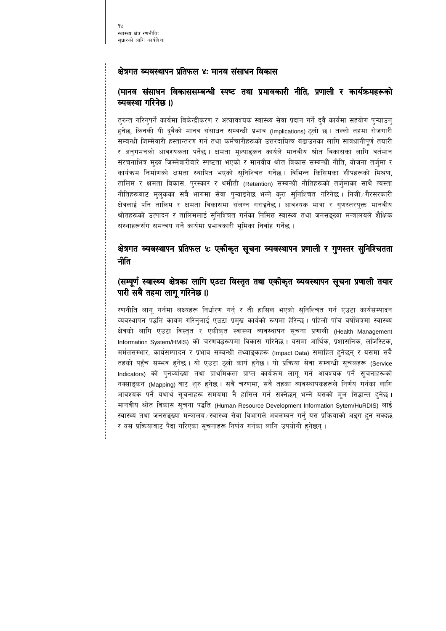#### क्षेत्रगत व्यवस्थापन प्रतिफल ४: मानव संसाधन विकास

### (मानव संसाधन विकाससम्बन्धी स्पष्ट तथा प्रभावकारी नीति, प्रणाली र कार्यक्रमहरूको व्यवस्था गरिनेछ ।)

तुरुन्त गरिनुपर्ने कार्यमा विकेन्द्रीकरण र अत्यावश्यक स्वास्थ्य सेवा प्रदान गर्ने दुवै कार्यमा सहयोग पुऱ्याउनु हुनेछ, किनकी यी दुवैको मानव संसाधन सम्बन्धी प्रभाव (Implications) ठूलो छ । तल्लो तहमा रोजगारी सम्बन्धी जिम्मेवारी हस्तान्तरण गर्न तथा कर्मचारीहरूको उत्तरदायित्व बढाउनका लागि सावधानीपूर्ण तयारी र अनुगमनको आवश्यकता पर्नेछ । क्षमता मूल्याङ्कन कार्यले मानवीय श्रोत विकासका लागि वर्तमान संरचनाभित्र मुख्य जिम्मेवारीबारे स्पष्टता भएको र मानवीय श्रोत विकास सम्बन्धी नीति, योजना तर्जुमा र कार्यक्रम निर्माणको क्षमता स्थापित भएको सुनिश्चित गर्नेछ। विभिन्न किसिमका सीपहरूको मिश्रण, तालिम र क्षमता विकास, पुरस्कार र थमौती (Retention) सम्बन्धी नीतिहरूको तर्जुमाका साथै त्यस्ता नीतिहरूबाट मुलुकका सबै भागमा सेवा प्ऱ्याइनेछ भन्ने कुरा सुनिश्चित गरिनेछ । निजी ∕गैरसरकारी क्षेत्रलाई पनि तालिम र क्षमता विकासमा संलग्न गराइनेछ । आवश्यक मात्रा र गुणस्तरयुक्त मानवीय श्रोतहरूको उत्पादन र तालिमलाई सुनिश्चित गर्नका निमित्त स्वास्थ्य तथा जनसङ्ख्या मन्त्रालयले शैक्षिक संस्थाहरूसँग समन्वय गर्ने कार्यमा प्रभावकारी भूमिका निर्वाह गर्नेछ ।

## क्षेत्रगत व्यवस्थापन प्रतिफल ४ः एकीकृत सूचना व्यवस्थापन प्रणाली र गुणस्तर सुनिश्चितता नीति

#### (सम्पूर्ण स्वास्थ्य क्षेत्रका लागि एउटा विस्तृत तथा एकीकृत व्यवस्थापन सूचना प्रणाली तयार पारी सबै तहमा लागू गरिनेछ ।)

रणनीति लागू गर्नमा लक्ष्यहरू निर्धारण गर्नु र ती हासिल भएको सुनिश्चित गर्न एउटा कार्यसम्पादन व्यवस्थापन पद्धति कायम गरिनुलाई एउटा प्रमुख कार्यको रूपमा हेरिन्छ । पहिलो पाँच वर्षभित्रमा स्वास्थ्य क्षेत्रको लागि एउटा विस्तृत र एकीकृत स्वास्थ्य व्यवस्थापन सूचना प्रणाली (Health Management Information System/HMIS) को चरणबद्धरूपमा विकास गरिनेछ। यसमा आर्थिक, प्रशासनिक, लजिस्टिक, मर्मतसम्भार, कार्यसम्पादन र प्रभाव सम्बन्धी तथ्याङ्कहरू (Impact Data) समाहित हुनेछन् र यसमा सबै तहको पहुँच सम्भव हुनेछ । यो एउटा ठूलो कार्य हुनेछ । यो प्रक्रिया सेवा सम्बन्धी सूचकहरू (Service Indicators) को पुनर्व्याख्या तथा प्राथमिकता प्राप्त कार्यक्रम लागू गर्न आवश्यक पर्ने सूचनाहरूको नक्साइकन (Mapping) बाट शुरु हुनेछ । सबै चरणमा, सबै तहका व्यवस्थापकहरूले निर्णय गर्नका लागि आवश्यक पर्ने यथार्थ सूचनाहरू समयमा नै हासिल गर्न सक्नेछन् भन्ने यसको मूल सिद्धान्त हुनेछ । मानवीय श्रोत विकास सूचना पद्धति (Human Resource Development Information Sytem/HuRDIS) लाई स्वास्थ्य तथा जनसङ्ख्या मन्त्रालय ∕स्वास्थ्य सेवा विभागले अवलम्वन गर्न यस प्रक्रियाको अङ्ग हन सक्दछ र यस प्रक्रियाबाट पैदा गरिएका सुचनाहरू निर्णय गर्नका लागि उपयोगी हुनेछन् ।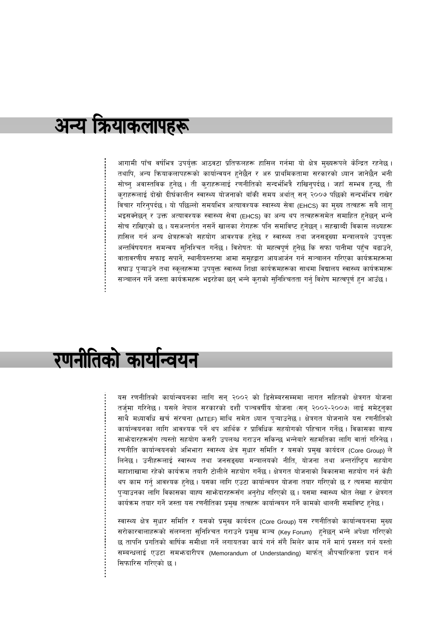## अन्य क्रियाकलापहरू

आगामी पाँच वर्षभित्र उपर्युक्त आठवटा प्रतिफलहरू हासिल गर्नमा यो क्षेत्र मुख्यरूपले केन्द्रित रहनेछ । तथापि, अन्य क्रियाकलापहरूको कार्यान्वयन हुनेछैन र अरु प्राथमिकतामा सरकारको ध्यान जानेछैन भनी सोच्नु अवास्तविक हुनेछ । ती कुराहरूलाई रणनीतिको सन्दर्भभित्रै राखिनुपर्दछ । जहाँ सम्भव हुन्छ, ती कुराहरूलाई दोस्रो दीर्घकालीन स्वास्थ्य योजनाको बाँकी समय अर्थात् सन् २००७ पछिको सन्दर्भभित्र राखेर विचार गरिनुपर्दछ । यो पछिल्लो समयभित्र अत्यावश्यक स्वास्थ्य सेवा (EHCS) का मुख्य तत्वहरू सबै लागू भइसक्नेछन् र उक्त अत्यावश्यक स्वास्थ्य सेवा (EHCS) का अन्य थप तत्वहरूसमेत समाहित हुनेछन् भन्ने सोच राखिएको छ । यसअन्तर्गत नसर्ने खालका रोगहरू पनि समाविष्ट हनेछन् । सहस्राब्दी विकास लक्ष्यहरू हासिल गर्न अन्य क्षेत्रहरूको सहयोग आवश्यक हुनेछ र स्वास्थ्य तथा जनसङ्ख्या मन्त्रालयले उपयुक्त अन्तर्विषयगत समन्वय सुनिश्चित गर्नेछ । विशेषत: यो महत्वपूर्ण हुनेछ कि सफा पानीमा पहुँच बढाउने, वातावरणीय सफाइ सपार्ने, स्थानीयस्तरमा आमा समूहद्वारा आयआर्जन गर्न सञ्चालन गरिएका कार्यक्रमहरूमा सघाउ प्ऱ्याउने तथा स्कूलहरूमा उपयुक्त स्वास्थ्य शिक्षा कार्यक्रमहरूका साथमा विद्यालय स्वास्थ्य कार्यक्रमहरू सञ्चालन गर्ने जस्ता कार्यक्रमहरू भइरहेका छन् भन्ने क्राको सुनिश्चितता गर्न् विशेष महत्वपूर्ण हुन आउँछ ।

# रणनीतिको कार्यान्वयन

यस रणनीतिको कार्यान्वयनका लागि सन् २००२ को डिसेम्बरसम्ममा लागत सहितको क्षेत्रगत योजना तर्जमा गरिनेछ । यसले नेपाल सरकारको दशौँ पञ्चवर्षीय योजना (सन् २००२-२००७) लाई समेट्नुका साथै मध्यावधि खर्च संरचना (MTEF) माथि समेत ध्यान पुऱ्याउनेछ । क्षेत्रगत योजनाले यस रणनीतिको कार्यान्वयनका लागि आवश्यक पर्ने थप आर्थिक र प्राविधिक सहयोगको पहिचान गर्नेछ। विकासका बाह्य साभोदारहरूसँग त्यस्तो सहयोग कसरी उपलब्ध गराउन सकिन्छ भन्नेवारे सहमतिका लागि वार्ता गरिनेछ । रणनीति कार्यान्वयनको अभिभारा स्वास्थ्य क्षेत्र सुधार समिति र यसको प्रमुख कार्यदल (Core Group) ले लिनेछ । उनीहरूलाई स्वास्थ्य तथा जनसङ्ख्या मन्त्रालयको नीति, योजना तथा अन्तर्राष्ट्रिय सहयोग महाशाखामा रहेको कार्यक्रम तयारी टोलीले सहयोग गर्नेछ । क्षेत्रगत योजनाको विकासमा सहयोग गर्न केही थप काम गर्नु आवश्यक हुनेछ। यसका लागि एउटा कार्यान्वयन योजना तयार गरिएको छ र त्यसमा सहयोग पुऱ्याउनका लागि विकासका बाह्य साभेदारहरूसँग अनुरोध गरिएको छ। यसमा स्वास्थ्य श्रोत लेखा र क्षेत्रगत कार्यक्रम तयार गर्ने जस्ता यस रणनीतिका प्रमुख तत्वहरू कार्यान्वयन गर्ने कामको थालनी समाविष्ट हुनेछ।

स्वास्थ्य क्षेत्र सुधार समिति र यसको प्रमुख कार्यदल (Core Group) यस रणनीतिको कार्यान्वयनमा मुख्य सरोकारवालाहरूको संलग्नता सुनिश्चित गराउने प्रमुख मञ्च (Key Forum) हुनेछन् भन्ने अपेक्षा गरिएको छ तापनि प्रगतिको वार्षिक समीक्षा गर्ने लगायतका कार्य गर्न सँगै मिलेर काम गर्ने मार्ग प्रसस्त गर्न यस्तो सम्बन्धलाई एउटा समभ्रुदारीपत्र (Memorandum of Understanding) मार्फत् औपचारिकता प्रदान गर्न सिफारिस गरिएको छ।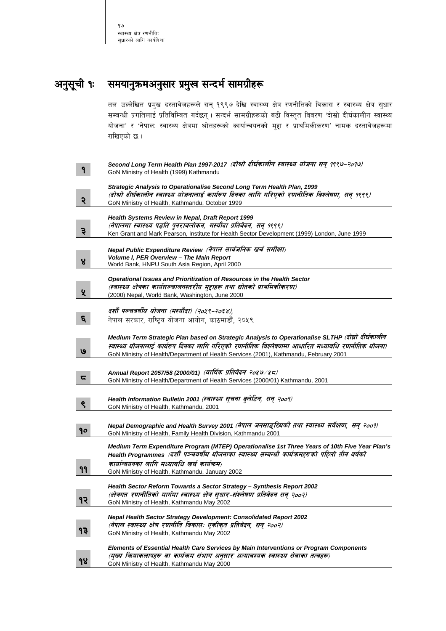१७ स्वास्थ्य क्षेत्र रणनीति: सुधारको लागि कार्यदिशा

## अनुसूची १ः समयानुक्रमअनुसार प्रमुख सन्दर्भ सामग्रीहरू

तल उल्लेखित प्रमुख दस्तावेजहरूले सन् १९९७ देखि स्वास्थ्य क्षेत्र रणनीतिको विकास र स्वास्थ्य क्षेत्र सुधार सम्बन्धी प्रगतिलाई प्रतिविम्वित गर्दछन् । सन्दर्भ सामग्रीहरूको बढी विस्तृत विवरण 'दोस्रो दीर्घकालीन स्वास्थ्य योजना' र 'नेपाल: स्वास्थ्य क्षेत्रमा श्रोतहरूको कार्यान्वयनको मुद्दा र प्राथमिकीकरण' नामक दस्तावेजहरूमा राखिएको छ।

|                         | Second Long Term Health Plan 1997-2017 (दोश्रो दीर्घकालीन स्वास्थ्य योजना सन् १९९७-२०१७)<br>GoN Ministry of Health (1999) Kathmandu                        |
|-------------------------|------------------------------------------------------------------------------------------------------------------------------------------------------------|
|                         |                                                                                                                                                            |
|                         | Strategic Analysis to Operationalise Second Long Term Health Plan, 1999                                                                                    |
| २                       | (दोश्रो दीर्घकालीन स्वास्थ्य योजनालाई कार्यरूप दिनका लागि गरिएको रणनीतिक विश्लेषण, सन् १९९९)<br>GoN Ministry of Health, Kathmandu, October 1999            |
|                         |                                                                                                                                                            |
|                         | Health Systems Review in Nepal, Draft Report 1999                                                                                                          |
| $\overline{\mathbf{z}}$ | (नेपालमा स्वास्थ्य पद्धति पुनरावलोकन, मर्स्यौदा प्रतिवेदन, सन् १९९९)                                                                                       |
|                         | Ken Grant and Mark Pearson, Institute for Health Sector Development (1999) London, June 1999                                                               |
|                         | Nepal Public Expenditure Review (नेपाल सार्वजनिक खर्च समीक्षा)                                                                                             |
|                         | Volume I, PER Overview - The Main Report                                                                                                                   |
| 8                       | World Bank, HNPU South Asia Region, April 2000                                                                                                             |
|                         |                                                                                                                                                            |
|                         | Operational Issues and Prioritization of Resources in the Health Sector<br>(स्वास्थ्य क्षेत्रका कार्यसञ्चालनस्तरीय मुद्दाहरू तथा स्रोतको प्राथमिकीकरण)     |
| ५                       | (2000) Nepal, World Bank, Washington, June 2000                                                                                                            |
|                         |                                                                                                                                                            |
|                         | दशौँ पञ्चवर्षीय योजना (मर्स्यौदा) (२०५९-२०६४),                                                                                                             |
| ६                       | नेपाल सरकार, राष्टिय योजना आयोग, काठमाडौं, २०५९                                                                                                            |
|                         |                                                                                                                                                            |
|                         | Medium Term Strategic Plan based on Strategic Analysis to Operationalise SLTHP (दोस्रो दीर्घकालीन                                                          |
| ٯا                      | स्वास्थ्य योजनालाई कार्यरूप दिनका लागि गरिएको रणनीतिक विश्लेषणमा आधारित मध्यावधि रणनीतिक योजना)                                                            |
|                         | GoN Ministry of Health/Department of Health Services (2001), Kathmandu, February 2001                                                                      |
|                         |                                                                                                                                                            |
| 5                       | Annual Report 2057/58 (2000/01) (वार्षिक प्रतिवेदन २०५७ / ५८)<br>GoN Ministry of Health/Department of Health Services (2000/01) Kathmandu, 2001            |
|                         |                                                                                                                                                            |
|                         | Health Information Bulletin 2001 (स्वास्थ्य सूचना बुलेटिन, सन् २००१)                                                                                       |
| ९                       | GoN Ministry of Health, Kathmandu, 2001                                                                                                                    |
|                         |                                                                                                                                                            |
|                         | Nepal Demographic and Health Survey 2001 (नेपाल जनसाङ्ख्यिकी तथा स्वास्थ्य सर्वेक्षण, सन् २००१)                                                            |
| 90                      | GoN Ministry of Health, Family Health Division, Kathmandu 2001                                                                                             |
|                         | Medium Term Expenditure Program (MTEP) Operationalise 1st Three Years of 10th Five Year Plan's                                                             |
|                         | Health Programmes (दशौँ पञ्चवर्षीय योजनाका स्वास्थ्य सम्बन्धी कार्यक्रमहरूको पहिलो तीन वर्षको                                                              |
|                         | कार्यान्वयनका लागि मध्यावधि खर्च कार्यक्रम)                                                                                                                |
| ۹۹                      | GoN Ministry of Health, Kathmandu, January 2002                                                                                                            |
|                         |                                                                                                                                                            |
|                         | Health Sector Reform Towards a Sector Strategy - Synthesis Report 2002<br>(क्षेत्रगत रणनीतिको मार्गमा स्वास्थ्य क्षेत्र सुधार-संश्लेषण प्रतिवेदन सन् २००२) |
| १२                      | GoN Ministry of Health, Kathmandu May 2002                                                                                                                 |
|                         |                                                                                                                                                            |
|                         | <b>Nepal Health Sector Strategy Development: Consolidated Report 2002</b>                                                                                  |
| ۹ş                      | (नेपाल स्वास्थ्य क्षेत्र रणनीति विकास: एकीकृत प्रतिवेदन, सन् २००२)                                                                                         |
|                         | GoN Ministry of Health, Kathmandu May 2002                                                                                                                 |
|                         | Elements of Essential Health Care Services by Main Interventions or Program Components                                                                     |
|                         | (मुख्य कियाकलापहरू वा कार्यक्रम संभाग अनुसार अत्यावश्यक स्वास्थ्य सेवाका तत्वहरू)                                                                          |
| १४                      | GoN Ministry of Health, Kathmandu May 2000                                                                                                                 |
|                         |                                                                                                                                                            |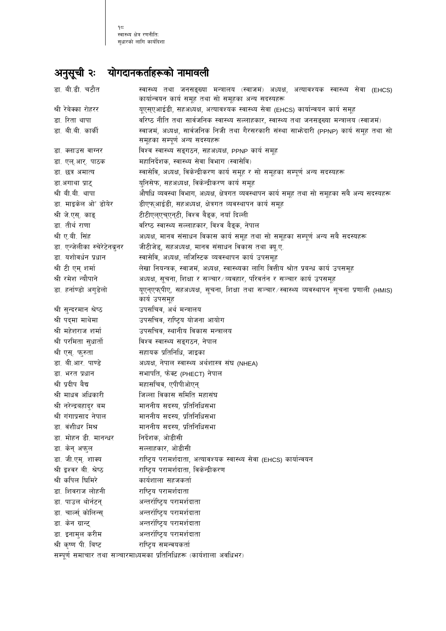## अनुसूची २ः योगदानकर्ताहरूको नामावली

| डा. बी.डी. चटौत                                                    | स्वास्थ्य तथा जनसङ्ख्या मन्त्रालय (स्वाजमं) अध्यक्ष, अत्यावश्यक स्वास्थ्य सेवा (EHCS)<br>कार्यान्वयन कार्य समूह तथा सो समूहका अन्य सदस्यहरू |  |  |
|--------------------------------------------------------------------|---------------------------------------------------------------------------------------------------------------------------------------------|--|--|
| श्री रेबेक्का रोहरर                                                | यूएसएआईडी, सहअध्यक्ष, अत्यावश्यक स्वास्थ्य सेवा (EHCS) कार्यान्वयन कार्य समूह                                                               |  |  |
| डा. रिता थापा                                                      | वरिष्ठ नीति तथा सार्वजनिक स्वास्थ्य सल्लाहकार, स्वास्थ्य तथा जनसङ्ख्या मन्त्रालय (स्वाजमं)                                                  |  |  |
| डा. बी.बी. कार्की                                                  | स्वाजमं, अध्यक्ष, सार्वजनिक निजी तथा गैरसरकारी संस्था साभ्रेदारी (PPNP) कार्य समूह तथा सो                                                   |  |  |
|                                                                    | समूहका सम्पूर्ण अन्य सदस्यहरू                                                                                                               |  |  |
| डा. क्लाउस वाग्नर                                                  | विश्व स्वास्थ्य सङ्गठन, सहअध्यक्ष, PPNP कार्य समूह                                                                                          |  |  |
| डा. एल्.आर्. पाठक                                                  | महानिर्देशक, स्वास्थ्य सेवा विभाग (स्वासेवि)                                                                                                |  |  |
| डा. छत्र अमात्य                                                    | स्वासेवि, अध्यक्ष, विकेन्द्रीकरण कार्य समूह र सो समूहका सम्पूर्ण अन्य सदस्यहरू                                                              |  |  |
| डा.अगाथा प्राट्                                                    | युनिसेफ, सहअध्यक्ष, विकेन्द्रीकरण कार्य समूह                                                                                                |  |  |
| श्री बी.बी. थापा                                                   | औषधि व्यवस्था विभाग, अध्यक्ष, क्षेत्रगत व्यवस्थापन कार्य समूह तथा सो समूहका सबै अन्य सदस्यहरू                                               |  |  |
| डा. माइकेल ओ' डोयेर                                                | डीएफ्आईडी, सहअध्यक्ष, क्षेत्रगत व्यवस्थापन कार्य समूह                                                                                       |  |  |
| श्री जे.एस्. काङ्                                                  | टीटीएल्एच्एन्टी, विश्व बैङ्क, नयाँ दिल्ली                                                                                                   |  |  |
| डा. तीर्थ राणा                                                     | वरिष्ठ स्वास्थ्य सल्लाहकार, विश्व बैङ्क, नेपाल                                                                                              |  |  |
| श्री ए.बी. सिंह                                                    | अध्यक्ष, मानव संसाधन विकास कार्य समूह तथा सो समूहका सम्पूर्ण अन्य सबै सदस्यहरू                                                              |  |  |
| डा. एन्जेलीका स्चेरेटेनबूनर                                        | जीटीजेड्, सहअध्यक्ष, मानव संसाधन विकास तथा क्यू.ए.                                                                                          |  |  |
| डा. यशोवर्धन प्रधान                                                | स्वासेवि, अध्यक्ष, लजिस्टिक व्यवस्थापन कार्य उपसमूह                                                                                         |  |  |
| श्री टी एम् शर्मा                                                  | लेखा नियन्त्रक, स्वाजमं, अध्यक्ष, स्वास्थ्यका लागि वित्तीय श्रोत प्रबन्ध कार्य उपसमूह                                                       |  |  |
| श्री रमेश न्यौपाने                                                 | अध्यक्ष, सूचना, शिक्षा र सञ्चार ∕व्यवहार, परिवर्तन र सञ्चार कार्य उपसमूह                                                                    |  |  |
| डा. हर्नाण्डो अग्डेलो                                              | यूएन्एफ्पीए, सहअध्यक्ष, सूचना, शिक्षा तथा सञ्चार ∕स्वास्थ्य व्यवस्थापन सूचना प्रणाली (HMIS)                                                 |  |  |
|                                                                    | कार्य उपसमूह                                                                                                                                |  |  |
| श्री सुन्दरमान श्रेष्ठ                                             | उपसचिव, अर्थ मन्त्रालय                                                                                                                      |  |  |
| श्री पद्मा माथेमा                                                  | उपसचिव, राष्ट्रिय योजना आयोग                                                                                                                |  |  |
| श्री महेशराज शर्मा                                                 | उपसचिव, स्थानीय विकास मन्त्रालय                                                                                                             |  |  |
| श्री परमिता सुधार्तो                                               | विश्व स्वास्थ्य सङ्गठन, नेपाल                                                                                                               |  |  |
| श्री एस्. फुरुता                                                   | सहायक प्रतिनिधि, जाइका                                                                                                                      |  |  |
| डा. बी.आर. पाण्डे                                                  | अध्यक्ष, नेपाल स्वास्थ्य अर्थशास्त्र संघ (NHEA)                                                                                             |  |  |
| डा. भरत प्रधान                                                     | सभापति, फेक्ट (PHECT) नेपाल                                                                                                                 |  |  |
| श्री प्रदीप बैद्य                                                  | महासचिव, एपीपीओएन्                                                                                                                          |  |  |
| श्री माधव अधिकारी                                                  | जिल्ला विकास समिति महासंघ                                                                                                                   |  |  |
| श्री नरेन्द्रबहादुर बम                                             | माननीय सदस्य, प्रतिनिधिसभा                                                                                                                  |  |  |
| श्री गंगाप्रसाद नेपाल                                              | माननीय सदस्य, प्रतिनिधिसभा                                                                                                                  |  |  |
| डा. वंशीधर मिश्र                                                   | माननीय सदस्य, प्रतिनिधिसभा                                                                                                                  |  |  |
| डा. मोहन डी. मानन्धर                                               | निर्देशक, ओडीसी                                                                                                                             |  |  |
| डा. केन् अफुल                                                      | सल्लाहकार, ओडीसी                                                                                                                            |  |  |
| डा. जी.एम्. शाक्य                                                  | राष्ट्रिय परामर्शदाता, अत्यावश्यक स्वास्थ्य सेवा (EHCS) कार्यान्वयन                                                                         |  |  |
| श्री इश्वर बी. श्रेष्ठ                                             | राष्ट्रिय परामर्शदाता, विकेन्द्रीकरण                                                                                                        |  |  |
| श्री कपिल घिमिरे                                                   | कार्यशाला सहजकर्ता                                                                                                                          |  |  |
| डा. शिवराज लोहनी                                                   | राष्ट्रिय परामर्शदाता                                                                                                                       |  |  |
| डा. पाउल थोर्नटन्                                                  | अन्तर्राष्ट्रिय परामर्शदाता                                                                                                                 |  |  |
| डा. चार्ल्स् कोलिन्स्                                              | अन्तर्राष्ट्रिय परामर्शदाता                                                                                                                 |  |  |
| डा. केन ग्रान्ट्                                                   | अन्तर्राष्ट्रिय परामर्शदाता                                                                                                                 |  |  |
| डा. इनामुल करीम                                                    | अन्तर्राष्ट्रिय परामर्शदाता                                                                                                                 |  |  |
| श्री कृष्ण पी. बिष्ट                                               | राष्ट्रिय समन्वयकर्ता                                                                                                                       |  |  |
| सम्पूर्ण समाचार तथा सञ्चारमाध्यमका प्रतिनिधिहरू (कार्यशाला अवधिभर) |                                                                                                                                             |  |  |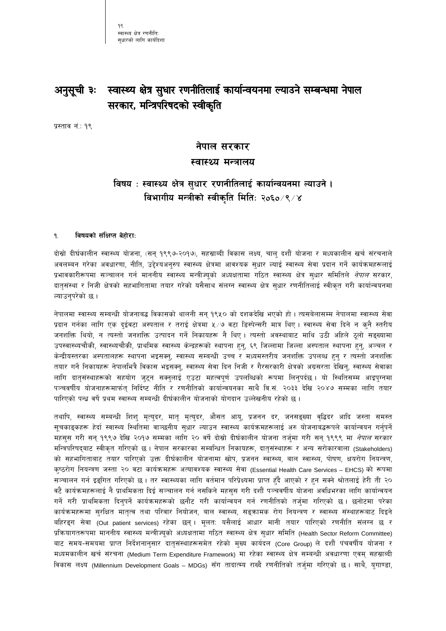৭ৎ स्वास्थ्य क्षेत्र रणनीतिः सधारको लागि कार्यदिशा

#### स्वास्थ्य क्षेत्र सुधार रणनीतिलाई कार्यान्वयनमा ल्याउने सम्बन्धमा नेपाल अनुसूची ३ः सरकार, मन्त्रिपरिषदको स्वीकृति

प्रस्ताव नं.: १९

## नेपाल सरकार स्वास्थ्य मन्त्रालय

## विषय : स्वास्थ्य क्षेत्र सुधार रणनीतिलाई कार्यान्वयनमा ल्याउने । विभागीय मन्त्रीको स्वीकृति मिति: २०६० ⁄९ ⁄ ४

#### $\mathbf{q}$ विषयको संक्षिप्त बेहोरा:

दोस्रो दीर्घकालीन स्वास्थ्य योजना, (सन् १९९७-२०१७), सहस्राब्दी विकास लक्ष्य, चालु दशौँ योजना र मध्यकालीन खर्च संरचनाले अवलम्बन गरेका अवधारणा, नीति, उद्देश्यअनुरुप स्वास्थ्य क्षेत्रमा आवश्यक सुधार ल्याई स्वास्थ्य सेवा प्रदान गर्ने कार्यक्रमहरूलाई प्रभावकारीरूपमा सञ्चालन गर्न माननीय स्वास्थ्य मन्त्रीज्यूको अध्यक्षतामा गठित स्वास्थ्य क्षेत्र सुधार समितिले *नेपाल* सरकार, दातृसंस्था र निजी क्षेत्रको सहभागितामा तयार गरेको यसैसाथ संलग्न स्वास्थ्य क्षेत्र सुधार रणनीतिलाई स्वीकृत गरी कार्यान्वयनमा ल्याउनुपरेको छ ।

नेपालमा स्वास्थ्य सम्बन्धी योजनाबद्ध विकासको थालनी सन् १९५० को दशकदेखि भएको हो । त्यसबेलासम्म नेपालमा स्वास्थ्य सेवा प्रदान गर्नका लागि एक दुईवटा अस्पताल र तराई क्षेत्रमा ५⁄७ वटा डिस्पेन्सरी मात्र थिए । स्वास्थ्य सेवा दिने न क्नै स्तरीय जनशक्ति थियो, न त्यस्तो जनशक्ति उत्पादन गर्ने निकायहरू नै थिए । त्यस्तो अवस्थाबाट माथि उठी अहिले ठूलो सङ्ख्यामा उपस्वास्थ्यचौकी, स्वास्थ्यचौकी, प्राथमिक स्वास्थ्य केन्द्रहरूको स्थापना हुनु, ६९ जिल्लामा जिल्ला अस्पताल स्थापना हुनु, अञ्चल र केन्द्रीयस्तरका अस्पतालहरू स्थापना भइसक्न्, स्वास्थ्य सम्बन्धी उच्च र मध्यमस्तरीय जनशक्ति उपलब्ध हन् र त्यस्तो जनशक्ति तयार गर्ने निकायहरू नेपालभित्रै विकास भइसक्नु, स्वास्थ्य सेवा दिन निजी र गैरसरकारी क्षेत्रको अग्रसरता देखिन्, स्वास्थ्य सेवाका लागि दातृसंस्थाहरूको सहयोग जुट्न सक्नुलाई एउटा महत्वपूर्ण उपलब्धिको रूपमा लिनुपर्दछ। यो स्थितिसम्म आइपुग्नमा पञ्चवर्षीय योजनाहरूमार्फत् निर्दिष्ट नीति र रणनीतिको कार्यान्वयनका साथै वि.सं. २०३३ देखि २०४७ सम्मका लागि तयार पारिएको पन्ध्र वर्षे प्रथम स्वास्थ्य सम्बन्धी दीर्घकालीन योजनाको योगदान उल्लेखनीय रहेको छ।

तथापि, स्वास्थ्य सम्बन्धी शिशु मृत्युदर, मातृ मृत्युदर, औसत आयु, प्रजनन दर, जनसङ्ख्या वृद्धिदर आदि जस्ता समस्त सूचकाड्कहरू हेर्दा स्वास्थ्य स्थितिमा वाञ्छनीय सुधार ल्याउन स्वास्थ्य कार्यक्रमहरूलाई अरु योजनाबद्धरूपले कार्यान्वयन गर्नुपर्ने महसुस गरी सन् १९९७ देखि २०१७ सम्मका लागि २० वर्षे दोस्रो दीर्घकालीन योजना तर्जुमा गरी सन् १९९९ मा *नेपाल* सरकार मन्त्रिपरिषद्बाट स्वीकृत गरिएको छ। नेपाल सरकारका सम्बन्धित निकायहरू, दातृसंस्थाहरू र अन्य सरोकारवाला (Stakeholders) को सहभागिताबाट तयार पारिएको उक्त दीर्घकालीन योजनामा खोप, प्रजनन स्वास्थ्य, बाल स्वास्थ्य, पोषण, क्षयरोग नियन्त्रण, कुष्ठरोग नियन्त्रण जस्ता २० वटा कार्यक्रमहरू अत्यावश्यक स्वास्थ्य सेवा (Essential Health Care Services – EHCS) को रूपमा सञ्चालन गर्न इङ्गित गरिएको छ । तर स्वास्थ्यका लागि वर्तमान परिप्रेक्ष्यमा प्राप्त हुँदै आएको र हुन सक्ने श्रोतलाई हेरी ती २० वटै कार्यक्रमहरूलाई नै प्राथमिकता दिई सञ्चालन गर्न नसकिने महसुस गरी दशौँ पञ्चवर्षीय योजना अवधिभरका लागि कार्यान्वयन गर्ने गरी प्राथमिकता दिनुपर्ने कार्यक्रमहरूको छनौट गरी कार्यान्वयन गर्न रणनीतिको तर्जुमा गरिएको छ। छनोटमा परेका कार्यक्रमहरूमा सुरक्षित मातृत्व तथा परिवार नियोजन, बाल स्वास्थ्य, सङ्क्रामक रोग नियन्त्रण र स्वास्थ्य संस्थाहरूबाट दिइने बहिरङ्ग सेवा (Out patient services) रहेका छन् । मूलत: यसैलाई आधार मानी तयार पारिएको रणनीति संलग्न छ र प्रकियागतरूपमा माननीय स्वास्थ्य मन्त्रीज्यूको अध्यक्षतामा गठित स्वास्थ्य क्षेत्र सुधार समिति (Health Sector Reform Committee) बाट समय-समयमा प्राप्त निर्देशनानुसार दातृसंस्थाहरूसमेत रहेको मुख्य कार्यदल (Core Group) ले दशौँ पंचवर्षीय योजना र मध्यमकालीन खर्च संरचना (Medium Term Expenditure Framework) मा रहेका स्वास्थ्य क्षेत्र सम्बन्धी अवधारणा एवम् सहस्राब्दी विकास लक्ष्य (Millennium Development Goals – MDGs) सँग तादात्म्य राख्दै रणनीतिको तर्जुमा गरिएको छ। साथै, युगाण्डा,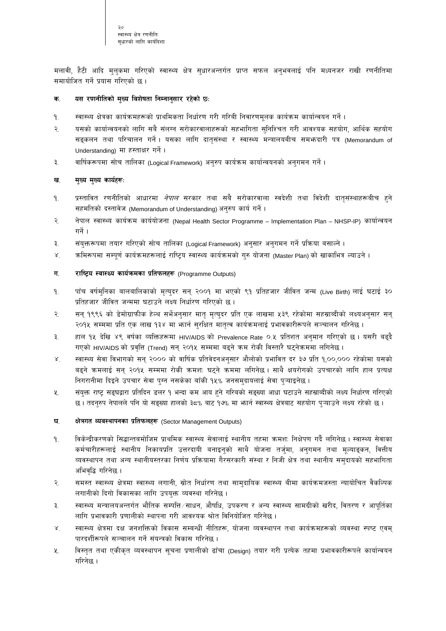मलावी, हैटी आदि मुलुकमा गरिएको स्वास्थ्य क्षेत्र सुधारअन्तर्गत प्राप्त सफल अनुभवलाई पनि मध्यनजर राखी रणनीतिमा समायोजित गर्ने प्रयास गरिएको छ।

#### यस रणनीतिको मुख्य विशेषता निम्नानुसार रहेको छ: क.

- स्वास्थ्य क्षेत्रका कार्यक्रमहरूको प्राथमिकता निर्धारण गरी गरिबी निवारणमूलक कार्यक्रम कार्यान्वयन गर्ने। ۹.
- २. यसको कार्यान्वयनको लागि सबै संलग्न सरोकारवालाहरूको सहभागिता सुनिश्चित गरी आवश्यक सहयोग, आर्थिक सहयोग सङ्कलन तथा परिचालन गर्ने । यसका लागि दातुसंस्था र स्वास्थ्य मन्त्रालयबीच समभ्रुदारी पत्र (Memorandum of Understanding) मा हस्ताक्षर गर्ने।
- $\mathcal{R}$ . वार्षिकरूपमा सोच तालिका (Logical Framework) अनुरुप कार्यक्रम कार्यान्वयनको अनुगमन गर्ने ।

#### ख. मुख्य मुख्य कार्यहरू:

- प्रस्तावित रणनीतिको आधारमा *नेपाल* सरकार तथा सबै सरोकारवाला स्वदेशी तथा विदेशी दातृसंस्थाहरूबीच हुने ٩. सहमतिको दस्तावेज (Memorandum of Understanding) अनुरुप कार्य गर्ने।
- नेपाल स्वास्थ्य कार्यक्रम कार्ययोजना (Nepal Health Sector Programme Implementation Plan NHSP-IP) कार्यान्वयन  $\overline{R}$ गर्ने ।
- संयुक्तरूपमा तयार गरिएको सोच तालिका (Logical Framework) अनुसार अनुगमन गर्ने प्रक्रिया बसाल्ने ।  $\mathbf{R}$
- $X<sub>1</sub>$ कमिरूपमा सम्पूर्ण कार्यक्रमहरूलाई राष्ट्रिय स्वास्थ्य कार्यक्रमको गुरु योजना (Master Plan) को खाकाभित्र ल्याउने ।

#### ग. राष्ट्रिय स्वास्थ्य कार्यक्रमका प्रतिफलहरू (Programme Outputs)

- पाँच वर्षमुनिका बालबालिकाको मृत्युदर सन् २००१ मा भएको ९१ प्रतिहजार जीवित जन्म (Live Birth) लाई घटाई ३० ۹. प्रतिहजार जीवित जन्ममा घटाउने लक्ष्य निर्धारण गरिएको छ।
- २. सन् १९९६ को डेमोग्राफीक हेल्थ सर्भेअनुसार मातृ मृत्युदर प्रति एक लाखमा ५३९ रहेकोमा सहस्राब्दीको लक्ष्यअनुसार सन् २०१५ सम्ममा प्रति एक लाख १३४ मा भार्न सुरक्षित मातृत्व कार्यक्रमलाई प्रभावकारीरूपले सञ्चालन गरिनेछ ।
- ₹ हाल १५ देखि ४९ वर्षका व्यक्तिहरूमा HIV/AIDS को Prevalence Rate ०.५ प्रतिशत अनुमान गरिएको छ। यसरी बढ्दै गएको HIV/AIDS को प्रवृत्ति (Trend) सन् २०१५ सम्ममा बढ्ने कम रोकी विस्तारै घट्नेकममा लगिनेछ ।
- स्वास्थ्य सेवा विभागको सन् २००० को वार्षिक प्रतिवेदनअनुसार औलोको प्रभावित दर ३७ प्रति १,००,००० रहेकोमा यसको  $\lambda^{\cdot}$ बढ्ने क्रमलाई सन् २०१५ सम्ममा रोकी क्रमश: घट्ने क्रममा लगिनेछ । साथै क्षयरोगको उपचारको लागि हाल प्रत्यक्ष निगरानीमा दिइने उपचार सेवा पुग्न नसकेका बाँकी १५% जनसमुदायलाई सेवा पुऱ्याइनेछ ।
- ५. संयुक्त राष्ट्र सङ्घद्वारा प्रतिदिन डलर १ भन्दा कम आय हुने गरिबको सङ्ख्या आधा घटाउने सहस्राब्दीको लक्ष्य निर्धारण गरिएको छ। तदनुरुप नेपालले पनि यो सङ्ख्या हालको ३८% बाट १७% मा भार्न स्वास्थ्य क्षेत्रबाट सहयोग प्ऱ्याउने लक्ष्य रहेको छ।

#### क्षेत्रगत व्यवस्थापनका प्रतिफलहरू (Sector Management Outputs) घ.

- विकेन्द्रीकरणको सिद्धान्तबमोजिम प्राथमिक स्वास्थ्य सेवालाई स्थानीय तहमा क्रमश: निक्षेपण गर्दै लगिनेछ । स्वास्थ्य सेवाका  $9<sub>1</sub>$ कर्मचारीहरूलाई स्थानीय निकायप्रति उत्तरदायी बनाइन्को साथै योजना तर्ज्मा, अनुगमन तथा मूल्याङ्कन, वित्तीय व्यवस्थापन तथा अन्य स्थानीयस्तरका निर्णय प्रक्रियामा गैरसरकारी संस्था र निजी क्षेत्र तथा स्थानीय समुदायको सहभागिता अभिवृद्धि गरिनेछ ।
- समस्त स्वास्थ्य क्षेत्रमा स्वास्थ्य लगानी, स्रोत निर्धारण तथा सामुदायिक स्वास्थ्य बीमा कार्यक्रमजस्ता न्यायोचित वैकल्पिक  $\tilde{\mathcal{R}}$ लगानीको दिगो विकासका लागि उपयुक्त व्यवस्था गरिनेछ ।
- ३. स्वास्थ्य मन्त्रालयअन्तर्गत भौतिक सम्पत्ति ∕साधन, औषधि, उपकरण र अन्य स्वास्थ्य सामग्रीको खरीद, वितरण र आपुर्तिका लागि प्रभावकारी प्रणालीको स्थापना गरी आवश्यक श्रोत विनियोजित गरिनेछ ।
- $\mathbf{X}$ स्वास्थ्य क्षेत्रमा दक्ष जनशक्तिको विकास सम्बन्धी नीतिहरू, योजना व्यवस्थापन तथा कार्यक्रमहरूको व्यवस्था स्पष्ट एवम् पारदर्शीरूपले सञ्चालन गर्ने संयन्त्रको विकास गरिनेछ ।
- विस्तृत तथा एकीकृत व्यवस्थापन सूचना प्रणालीको ढाँचा (Design) तयार गरी प्रत्येक तहमा प्रभावकारीरूपले कार्यान्वयन ५. गरिनेछ ।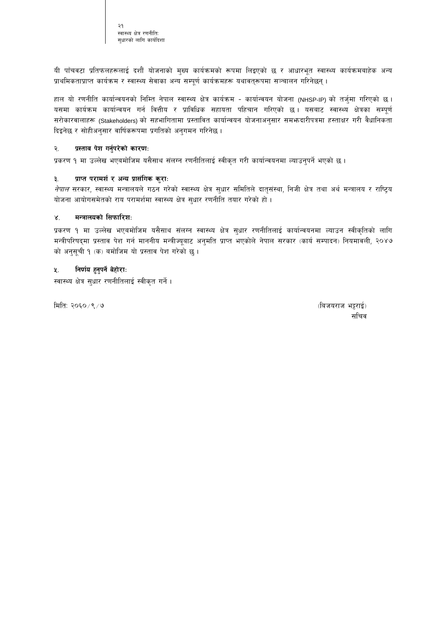२१ स्वास्थ्य क्षेत्र रणनीतिः सधारको लागि कार्यदिशा

यी पाँचवटा प्रतिफलहरूलाई दशौं योजनाको मुख्य कार्यक्रमको रूपमा लिइएको छ र आधारभूत स्वास्थ्य कार्यक्रमबाहेक अन्य प्राथमिकताप्राप्त कार्यक्रम र स्वास्थ्य सेवाका अन्य सम्पूर्ण कार्यक्रमहरू यथावत्रूपमा सञ्चालन गरिनेछन् ।

हाल यो रणनीति कार्यान्वयनको निम्ति नेपाल स्वास्थ्य क्षेत्र कार्यक्रम - कार्यान्वयन योजना (NHSP-IP) को तर्जुमा गरिएको छ। यसमा कार्यक्रम कार्यान्वयन गर्न वित्तीय र प्राविधिक सहायता पहिचान गरिएको छ। यसबाट स्वास्थ्य क्षेत्रका सम्पूर्ण सरोकारवालाहरू (Stakeholders) को सहभागितामा प्रस्तावित कार्यान्वयन योजनाअनुसार समभजदारीपत्रमा हस्ताक्षर गरी वैधानिकता दिइनेछ र सोहीअनुसार वार्षिकरूपमा प्रगतिको अनुगमन गरिनेछ ।

#### प्रस्ताव पेश गर्नुपरेको कारणः ২.

प्रकरण १ मा उल्लेख भएबमोजिम यसैसाथ संलग्न रणनीतिलाई स्वीकृत गरी कार्यान्वयनमा ल्याउन्पर्ने भएको छ ।

#### प्राप्त परामर्श र अन्य प्रासंगिक कुरा:  $3.$

*नेपाल* सरकार, स्वास्थ्य मन्त्रालयले गठन गरेको स्वास्थ्य क्षेत्र सुधार समितिले दातृसंस्था, निजी क्षेत्र तथा अर्थ मन्त्रालय र राष्ट्रिय योजना आयोगसमेतको राय परामर्शमा स्वास्थ्य क्षेत्र सुधार रणनीति तयार गरेको हो।

#### मन्त्रालयको सिफारिशः  $\times$

प्रकरण १ मा उल्लेख भएबमोजिम यसैसाथ संलग्न स्वास्थ्य क्षेत्र सुधार रणनीतिलाई कार्यान्वयनमा ल्याउन स्वीकृतिको लागि मन्त्रीपरिषद्मा प्रस्ताव पेश गर्न माननीय मन्त्रीज्यूबाट अनुमति प्राप्त भएकोले नेपाल सरकार (कार्य सम्पादन) नियमावली, २०४७ को अनुसूची १ (क) बमोजिम यो प्रस्ताव पेश गरेको छु।

#### निर्णय हुनुपर्ने बेहोराः 义.

स्वास्थ्य क्षेत्र सुधार रणनीतिलाई स्वीकृत गर्ने।

मिति: २०६०/९/७

(बिजयराज भट्टराई) सचिव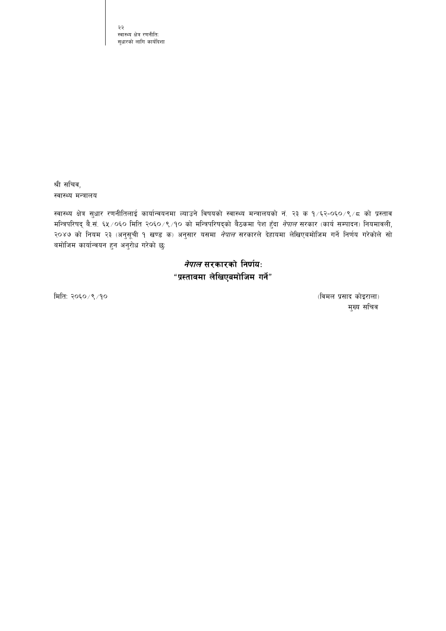२२ स्वास्थ्य क्षेत्र रणनीतिः सुधारको लागि कार्यदिशा

श्री सचिव, स्वास्थ्य मन्त्रालय

स्वास्थ्य क्षेत्र सुधार रणनीतिलाई कार्यान्वयनमा ल्याउने विषयको स्वास्थ्य मन्त्रालयको नं. २३ क १/६२-०६०/९/८ को प्रस्ताव मन्त्रिपरिषद् बै.सं. ६५/०६० मिति २०६०/९/१० को मन्त्रिपरिषद्को बैठकमा पेश हुँदा *नेपाल* सरकार (कार्य सम्पादन) नियमावली, २०४७ को नियम २३ (अनुसूची १ खण्ड क) अनुसार यसमा *नेपाल* सरकारले देहायमा लेखिएबमोजिम गर्ने निर्णय गरेकोले सो बमोजिम कार्यान्वयन हुन अनुरोध गरेको छु:

> *नेपाल* सरकारको निर्णयः "प्रस्तावमा लेखिएबमोजिम गर्ने"

मिति: २०६०/९/१०

(विमल प्रसाद कोइराला) मुख्य सचिव